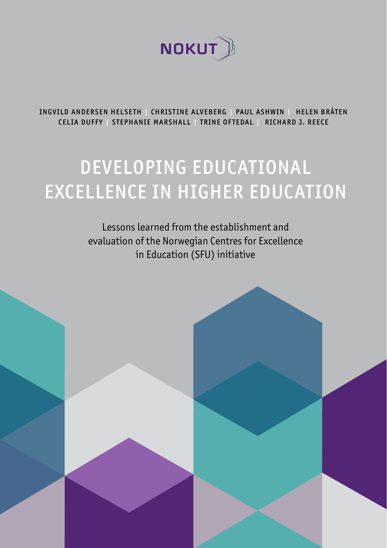

INGVILD ANDERSEN HELSETH | CHRISTINE ALVEBERG | PAUL ASHWIN | HELEN BRÅTEN CELIA DUFFY | STEPHANIE MARSHALL | TRINE OFTEDAL | RICHARD J. REECE

### DEVELOPING EDUCATIONAL EXCELLENCE IN HIGHER EDUCATION

Lessons learned from the establishment and evaluation of the Norwegian Centres for Excellence in Education (SFU) initiative

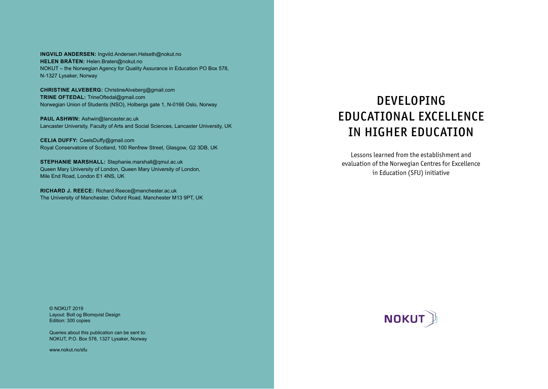**INGVILD ANDERSEN:** Ingvild.Andersen.Helseth@nokut.no **HELEN BRÅTEN:** Helen.Braten@nokut.no NOKUT – the Norwegian Agency for Quality Assurance in Education PO Box 578, N-1327 Lysaker, Norway

**CHRISTINE ALVEBERG:** ChristineAlveberg@gmail.com **TRINE OFTEDAL:** TrineOftedal@gmail.com Norwegian Union of Students (NSO), Holbergs gate 1, N-0166 Oslo, Norway

**PAUL ASHWIN:** Ashwin@lancaster.ac.uk Lancaster University, Faculty of Arts and Social Sciences, Lancaster University, UK

**CELIA DUFFY:** CeelsDuffy@gmail.com Royal Conservatoire of Scotland, 100 Renfrew Street, Glasgow, G2 3DB, UK

**STEPHANIE MARSHALL:** Stephanie.marshall@qmul.ac.uk Queen Mary University of London, Queen Mary University of London, Mile End Road, London E1 4NS, UK

**RICHARD J. REECE:** Richard.Reece@manchester.ac.uk The University of Manchester, Oxford Road, Manchester M13 9PT, UK

### DEVELOPING EDUCATIONAL EXCELLENCE IN HIGHER EDUCATION

Lessons learned from the establishment and evaluation of the Norwegian Centres for Excellence in Education (SFU) initiative

© NOKUT 2019 Layout: Bolt og Blomqvist Design Edition: 300 copies

Queries about this publication can be sent to: NOKUT, P.O. Box 578, 1327 Lysaker, Norway

www.nokut.no/sfu

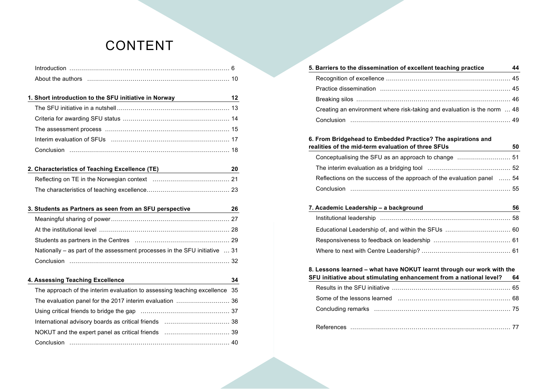### CONTENT

| 1. Short introduction to the SFU initiative in Norway                            | 12 |
|----------------------------------------------------------------------------------|----|
|                                                                                  |    |
|                                                                                  |    |
|                                                                                  |    |
|                                                                                  |    |
|                                                                                  |    |
|                                                                                  |    |
| 2. Characteristics of Teaching Excellence (TE) _________________________________ | 20 |
|                                                                                  |    |
|                                                                                  |    |
|                                                                                  |    |
| 3. Students as Partners as seen from an SFU perspective                          | 26 |
|                                                                                  |    |
|                                                                                  |    |
|                                                                                  |    |
| Nationally – as part of the assessment processes in the SFU initiative  31       |    |
|                                                                                  |    |
|                                                                                  |    |
| 4. Assessing Teaching Excellence                                                 | 34 |
| The approach of the interim evaluation to assessing teaching excellence 35       |    |
|                                                                                  |    |
|                                                                                  |    |
|                                                                                  |    |
|                                                                                  |    |
|                                                                                  |    |
|                                                                                  |    |

| 5. Barriers to the dissemination of excellent teaching practice          | 44 |
|--------------------------------------------------------------------------|----|
|                                                                          |    |
|                                                                          |    |
|                                                                          |    |
| Creating an environment where risk-taking and evaluation is the norm  48 |    |
|                                                                          |    |
|                                                                          |    |

#### **6. From Bridgehead to Embedded Practice? The aspirations and realities of the mid-term evaluation of three SFUs 50**

| Reflections on the success of the approach of the evaluation panel  54 |  |
|------------------------------------------------------------------------|--|
|                                                                        |  |

| 7. Academic Leadership – a background | 56 |
|---------------------------------------|----|
|                                       |    |
|                                       |    |
|                                       |    |
|                                       |    |

### **8. Lessons learned – what have NOKUT learnt through our work with the**

| SFU initiative about stimulating enhancement from a national level? | 64 |
|---------------------------------------------------------------------|----|
|---------------------------------------------------------------------|----|

 $\mathcal{A} = \{A, B, C, \ldots, C, \mathcal{A} \}$  , where  $A$  is a set of  $A$  such as  $A$  such as  $A$  such as  $A$  such as  $A$  such as  $A$  such as  $A$  such as  $A$  such as  $A$  such as  $A$  such as  $A$  such as  $A$  such as  $A$  such as  $A$  such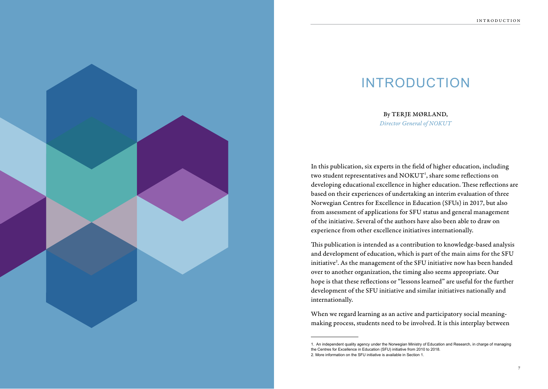### INTRODUCTION

By TERJE MØRLAND, *Director General of NOKUT*

In this publication, six experts in the field of higher education, including two student representatives and  $\mathrm{NOKUT}^{\scriptscriptstyle 1}$ , share some reflections on developing educational excellence in higher education. These reflections are based on their experiences of undertaking an interim evaluation of three Norwegian Centres for Excellence in Education (SFUs) in 2017, but also from assessment of applications for SFU status and general management of the initiative. Several of the authors have also been able to draw on experience from other excellence initiatives internationally.

This publication is intended as a contribution to knowledge-based analysis and development of education, which is part of the main aims for the SFU initiative 2 . As the management of the SFU initiative now has been handed over to another organization, the timing also seems appropriate. Our hope is that these reflections or "lessons learned" are useful for the further development of the SFU initiative and similar initiatives nationally and internationally.

When we regard learning as an active and participatory social meaningmaking process, students need to be involved. It is this interplay between

<sup>1.</sup> An independent quality agency under the Norwegian Ministry of Education and Research, in charge of managing the Centres for Excellence in Education (SFU) initiative from 2010 to 2018. 2. More information on the SFU initiative is available in Section 1.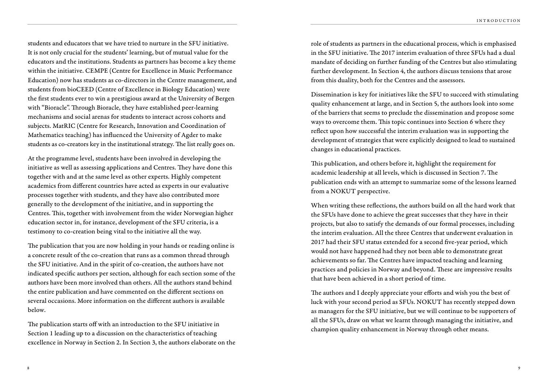students and educators that we have tried to nurture in the SFU initiative. It is not only crucial for the students' learning, but of mutual value for the educators and the institutions. Students as partners has become a key theme within the initiative. CEMPE (Centre for Excellence in Music Performance Education) now has students as co-directors in the Centre management, and students from bioCEED (Centre of Excellence in Biology Education) were the first students ever to win a prestigious award at the University of Bergen with "Bioracle". Through Bioracle, they have established peer-learning mechanisms and social arenas for students to interact across cohorts and subjects. MatRIC (Centre for Research, Innovation and Coordination of Mathematics teaching) has influenced the University of Agder to make students as co-creators key in the institutional strategy. The list really goes on.

At the programme level, students have been involved in developing the initiative as well as assessing applications and Centres. They have done this together with and at the same level as other experts. Highly competent academics from different countries have acted as experts in our evaluative processes together with students, and they have also contributed more generally to the development of the initiative, and in supporting the Centres. This, together with involvement from the wider Norwegian higher education sector in, for instance, development of the SFU criteria, is a testimony to co-creation being vital to the initiative all the way.

The publication that you are now holding in your hands or reading online is a concrete result of the co-creation that runs as a common thread through the SFU initiative. And in the spirit of co-creation, the authors have not indicated specific authors per section, although for each section some of the authors have been more involved than others. All the authors stand behind the entire publication and have commented on the different sections on several occasions. More information on the different authors is available below.

The publication starts off with an introduction to the SFU initiative in Section 1 leading up to a discussion on the characteristics of teaching excellence in Norway in Section 2. In Section 3, the authors elaborate on the role of students as partners in the educational process, which is emphasised in the SFU initiative. The 2017 interim evaluation of three SFUs had a dual mandate of deciding on further funding of the Centres but also stimulating further development. In Section 4, the authors discuss tensions that arose from this duality, both for the Centres and the assessors.

Dissemination is key for initiatives like the SFU to succeed with stimulating quality enhancement at large, and in Section 5, the authors look into some of the barriers that seems to preclude the dissemination and propose some ways to overcome them. This topic continues into Section 6 where they reflect upon how successful the interim evaluation was in supporting the development of strategies that were explicitly designed to lead to sustained changes in educational practices.

This publication, and others before it, highlight the requirement for academic leadership at all levels, which is discussed in Section 7. The publication ends with an attempt to summarize some of the lessons learned from a NOKUT perspective.

When writing these reflections, the authors build on all the hard work that the SFUs have done to achieve the great successes that they have in their projects, but also to satisfy the demands of our formal processes, including the interim evaluation. All the three Centres that underwent evaluation in 2017 had their SFU status extended for a second five-year period, which would not have happened had they not been able to demonstrate great achievements so far. The Centres have impacted teaching and learning practices and policies in Norway and beyond. These are impressive results that have been achieved in a short period of time.

The authors and I deeply appreciate your efforts and wish you the best of luck with your second period as SFUs. NOKUT has recently stepped down as managers for the SFU initiative, but we will continue to be supporters of all the SFUs, draw on what we learnt through managing the initiative, and champion quality enhancement in Norway through other means.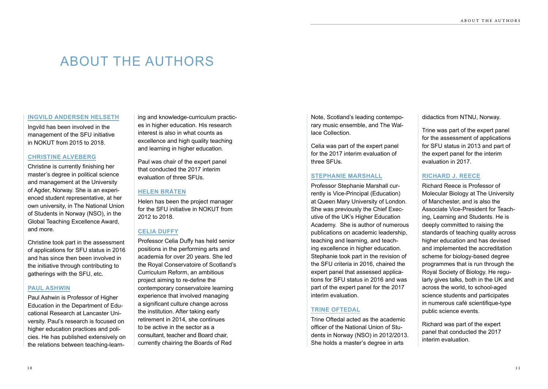### ABOUT THE AUTHORS

#### **INGVILD ANDERSEN HELSETH**

Ingvild has been involved in the management of the SFU initiative in NOKUT from 2015 to 2018.

#### **CHRISTINE ALVEBERG**

Christine is currently finishing her master's degree in political science and management at the University of Agder, Norway. She is an experienced student representative, at her own university, in The National Union of Students in Norway (NSO), in the Global Teaching Excellence Award, and more.

Christine took part in the assessment of applications for SFU status in 2016 and has since then been involved in the initiative through contributing to gatherings with the SFU, etc.

#### **PAUL ASHWIN**

Paul Ashwin is Professor of Higher Education in the Department of Educational Research at Lancaster University. Paul's research is focused on higher education practices and policies. He has published extensively on the relations between teaching-learn-

ing and knowledge-curriculum practices in higher education. His research interest is also in what counts as excellence and high quality teaching and learning in higher education.

Paul was chair of the expert panel that conducted the 2017 interim evaluation of three SFUs.

#### **HELEN BRÅTEN**

Helen has been the project manager for the SFU initiative in NOKUT from 2012 to 2018.

#### **CELIA DUFFY**

Professor Celia Duffy has held senior positions in the performing arts and academia for over 20 years. She led the Royal Conservatoire of Scotland's Curriculum Reform, an ambitious project aiming to re-define the contemporary conservatoire learning experience that involved managing a significant culture change across the institution. After taking early retirement in 2014, she continues to be active in the sector as a consultant, teacher and Board chair, currently chairing the Boards of Red

Note, Scotland's leading contemporary music ensemble, and The Wallace Collection.

Celia was part of the expert panel for the 2017 interim evaluation of three SFUs.

#### **STEPHANIE MARSHALL**

Professor Stephanie Marshall currently is Vice-Principal (Education) at Queen Mary University of London. She was previously the Chief Executive of the UK's Higher Education Academy. She is author of numerous publications on academic leadership, teaching and learning, and teaching excellence in higher education. Stephanie took part in the revision of the SFU criteria in 2016, chaired the expert panel that assessed applications for SFU status in 2016 and was part of the expert panel for the 2017 interim evaluation.

#### **TRINE OFTEDAL**

Trine Oftedal acted as the academic officer of the National Union of Students in Norway (NSO) in 2012/2013. She holds a master's degree in arts

didactics from NTNU, Norway.

Trine was part of the expert panel for the assessment of applications for SFU status in 2013 and part of the expert panel for the interim evaluation in 2017.

#### **RICHARD J. REECE**

Richard Reece is Professor of Molecular Biology at The University of Manchester, and is also the Associate Vice-President for Teaching, Learning and Students. He is deeply committed to raising the standards of teaching quality across higher education and has devised and implemented the accreditation scheme for biology-based degree programmes that is run through the Royal Society of Biology. He regularly gives talks, both in the UK and across the world, to school-aged science students and participates in numerous café scientifique-type public science events.

Richard was part of the expert panel that conducted the 2017 interim evaluation.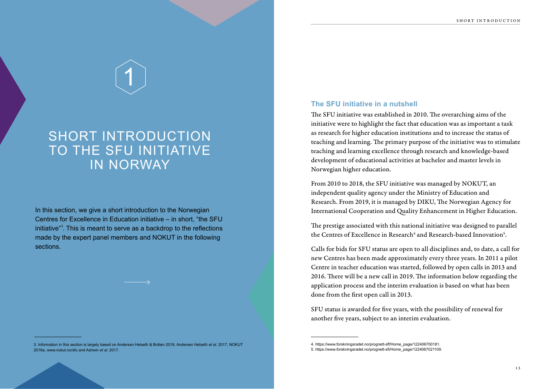## 1

### **SHORT INTRODUCTION** TO THE SFU INITIATIVE IN NORWAY

In this section, we give a short introduction to the Norwegian Centres for Excellence in Education initiative – in short, "the SFU initiative"<sup>3</sup>. This is meant to serve as a backdrop to the reflections made by the expert panel members and NOKUT in the following sections.

#### **The SFU initiative in a nutshell**

The SFU initiative was established in 2010. The overarching aims of the initiative were to highlight the fact that education was as important a task as research for higher education institutions and to increase the status of teaching and learning. The primary purpose of the initiative was to stimulate teaching and learning excellence through research and knowledge-based development of educational activities at bachelor and master levels in Norwegian higher education.

From 2010 to 2018, the SFU initiative was managed by NOKUT, an independent quality agency under the Ministry of Education and Research. From 2019, it is managed by DIKU, The Norwegian Agency for International Cooperation and Quality Enhancement in Higher Education.

The prestige associated with this national initiative was designed to parallel the Centres of Excellence in Research<sup>4</sup> and Research-based Innovation<sup>5</sup>.

Calls for bids for SFU status are open to all disciplines and, to date, a call for new Centres has been made approximately every three years. In 2011 a pilot Centre in teacher education was started, followed by open calls in 2013 and 2016. There will be a new call in 2019. The information below regarding the application process and the interim evaluation is based on what has been done from the first open call in 2013.

SFU status is awarded for five years, with the possibility of renewal for another five years, subject to an interim evaluation.

<sup>3.</sup> Information in this section is largely based on Andersen Helseth & Bråten 2018, Andersen Helseth *et al*. 2017, NOKUT 2016a, www.nokut.no/sfu and Ashwin *et al*. 2017.

<sup>4.</sup> https://www.forskningsradet.no/prognett-sff/Home\_page/122406700181.

<sup>5.</sup> https://www.forskningsradet.no/prognett-sfi/Home\_page/1224067021109.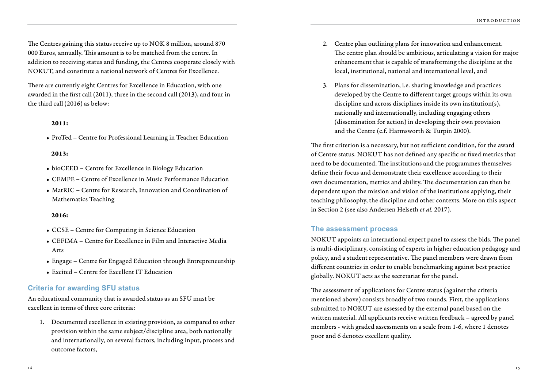The Centres gaining this status receive up to NOK 8 million, around 870 000 Euros, annually. This amount is to be matched from the centre. In addition to receiving status and funding, the Centres cooperate closely with NOKUT, and constitute a national network of Centres for Excellence.

There are currently eight Centres for Excellence in Education, with one awarded in the first call (2011), three in the second call (2013), and four in the third call (2016) as below:

#### 2011:

• ProTed – Centre for Professional Learning in Teacher Education

#### 2013:

- bioCEED Centre for Excellence in Biology Education
- CEMPE Centre of Excellence in Music Performance Education
- MatRIC Centre for Research, Innovation and Coordination of Mathematics Teaching

#### 2016:

- CCSE Centre for Computing in Science Education
- CEFIMA Centre for Excellence in Film and Interactive Media Arts
- Engage Centre for Engaged Education through Entrepreneurship
- Excited Centre for Excellent IT Education

#### **Criteria for awarding SFU status**

An educational community that is awarded status as an SFU must be excellent in terms of three core criteria:

1. Documented excellence in existing provision, as compared to other provision within the same subject/discipline area, both nationally and internationally, on several factors, including input, process and outcome factors,

- 2. Centre plan outlining plans for innovation and enhancement. The centre plan should be ambitious, articulating a vision for major enhancement that is capable of transforming the discipline at the local, institutional, national and international level, and
- 3. Plans for dissemination, i.e. sharing knowledge and practices developed by the Centre to different target groups within its own discipline and across disciplines inside its own institution(s), nationally and internationally, including engaging others (dissemination for action) in developing their own provision and the Centre (c.f. Harmsworth & Turpin 2000).

The first criterion is a necessary, but not sufficient condition, for the award of Centre status. NOKUT has not defined any specific or fixed metrics that need to be documented. The institutions and the programmes themselves define their focus and demonstrate their excellence according to their own documentation, metrics and ability. The documentation can then be dependent upon the mission and vision of the institutions applying, their teaching philosophy, the discipline and other contexts. More on this aspect in Section 2 (see also Andersen Helseth *et al.* 2017).

#### **The assessment process**

NOKUT appoints an international expert panel to assess the bids. The panel is multi-disciplinary, consisting of experts in higher education pedagogy and policy, and a student representative. The panel members were drawn from different countries in order to enable benchmarking against best practice globally. NOKUT acts as the secretariat for the panel.

The assessment of applications for Centre status (against the criteria mentioned above) consists broadly of two rounds. First, the applications submitted to NOKUT are assessed by the external panel based on the written material. All applicants receive written feedback – agreed by panel members - with graded assessments on a scale from 1-6, where 1 denotes poor and 6 denotes excellent quality.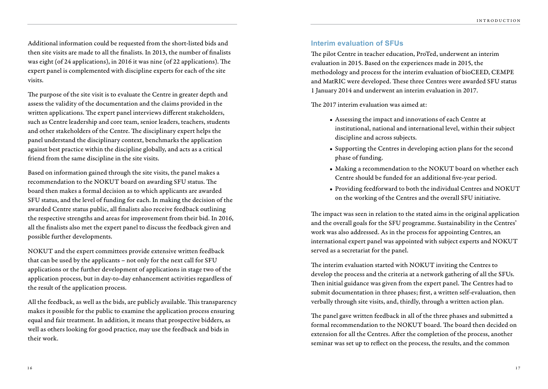Additional information could be requested from the short-listed bids and then site visits are made to all the finalists. In 2013, the number of finalists was eight (of 24 applications), in 2016 it was nine (of 22 applications). The expert panel is complemented with discipline experts for each of the site visits.

The purpose of the site visit is to evaluate the Centre in greater depth and assess the validity of the documentation and the claims provided in the written applications. The expert panel interviews different stakeholders, such as Centre leadership and core team, senior leaders, teachers, students and other stakeholders of the Centre. The disciplinary expert helps the panel understand the disciplinary context, benchmarks the application against best practice within the discipline globally, and acts as a critical friend from the same discipline in the site visits.

Based on information gained through the site visits, the panel makes a recommendation to the NOKUT board on awarding SFU status. The board then makes a formal decision as to which applicants are awarded SFU status, and the level of funding for each. In making the decision of the awarded Centre status public, all finalists also receive feedback outlining the respective strengths and areas for improvement from their bid. In 2016, all the finalists also met the expert panel to discuss the feedback given and possible further developments.

NOKUT and the expert committees provide extensive written feedback that can be used by the applicants – not only for the next call for SFU applications or the further development of applications in stage two of the application process, but in day-to-day enhancement activities regardless of the result of the application process.

All the feedback, as well as the bids, are publicly available. This transparency makes it possible for the public to examine the application process ensuring equal and fair treatment. In addition, it means that prospective bidders, as well as others looking for good practice, may use the feedback and bids in their work.

#### **Interim evaluation of SFUs**

The pilot Centre in teacher education, ProTed, underwent an interim evaluation in 2015. Based on the experiences made in 2015, the methodology and process for the interim evaluation of bioCEED, CEMPE and MatRIC were developed. These three Centres were awarded SFU status 1 January 2014 and underwent an interim evaluation in 2017.

The 2017 interim evaluation was aimed at:

- Assessing the impact and innovations of each Centre at institutional, national and international level, within their subject discipline and across subjects.
- Supporting the Centres in developing action plans for the second phase of funding.
- Making a recommendation to the NOKUT board on whether each Centre should be funded for an additional five-year period.
- Providing feedforward to both the individual Centres and NOKUT on the working of the Centres and the overall SFU initiative.

The impact was seen in relation to the stated aims in the original application and the overall goals for the SFU programme. Sustainability in the Centres' work was also addressed. As in the process for appointing Centres, an international expert panel was appointed with subject experts and NOKUT served as a secretariat for the panel.

The interim evaluation started with NOKUT inviting the Centres to develop the process and the criteria at a network gathering of all the SFUs. Then initial guidance was given from the expert panel. The Centres had to submit documentation in three phases; first, a written self-evaluation, then verbally through site visits, and, thirdly, through a written action plan.

The panel gave written feedback in all of the three phases and submitted a formal recommendation to the NOKUT board. The board then decided on extension for all the Centres. After the completion of the process, another seminar was set up to reflect on the process, the results, and the common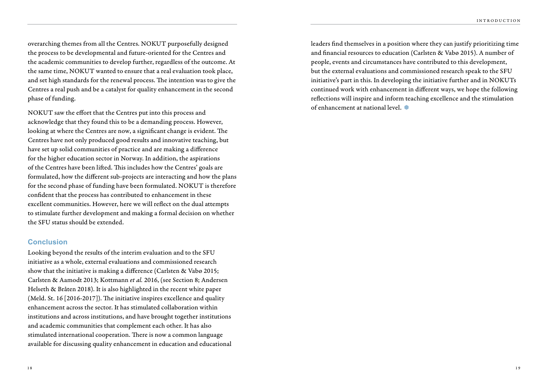overarching themes from all the Centres. NOKUT purposefully designed the process to be developmental and future-oriented for the Centres and the academic communities to develop further, regardless of the outcome. At the same time, NOKUT wanted to ensure that a real evaluation took place, and set high standards for the renewal process. The intention was to give the Centres a real push and be a catalyst for quality enhancement in the second phase of funding.

NOKUT saw the effort that the Centres put into this process and acknowledge that they found this to be a demanding process. However, looking at where the Centres are now, a significant change is evident. The Centres have not only produced good results and innovative teaching, but have set up solid communities of practice and are making a difference for the higher education sector in Norway. In addition, the aspirations of the Centres have been lifted. This includes how the Centres' goals are formulated, how the different sub-projects are interacting and how the plans for the second phase of funding have been formulated. NOKUT is therefore confident that the process has contributed to enhancement in these excellent communities. However, here we will reflect on the dual attempts to stimulate further development and making a formal decision on whether the SFU status should be extended.

#### **Conclusion**

Looking beyond the results of the interim evaluation and to the SFU initiative as a whole, external evaluations and commissioned research show that the initiative is making a difference (Carlsten & Vabø 2015; Carlsten & Aamodt 2013; Kottmann *et al.* 2016, (see Section 8; Andersen Helseth & Bråten 2018). It is also highlighted in the recent white paper (Meld. St. 16 [2016-2017]). The initiative inspires excellence and quality enhancement across the sector. It has stimulated collaboration within institutions and across institutions, and have brought together institutions and academic communities that complement each other. It has also stimulated international cooperation. There is now a common language available for discussing quality enhancement in education and educational leaders find themselves in a position where they can justify prioritizing time and financial resources to education (Carlsten & Vabø 2015). A number of people, events and circumstances have contributed to this development, but the external evaluations and commissioned research speak to the SFU initiative's part in this. In developing the initiative further and in NOKUTs continued work with enhancement in different ways, we hope the following reflections will inspire and inform teaching excellence and the stimulation of enhancement at national level.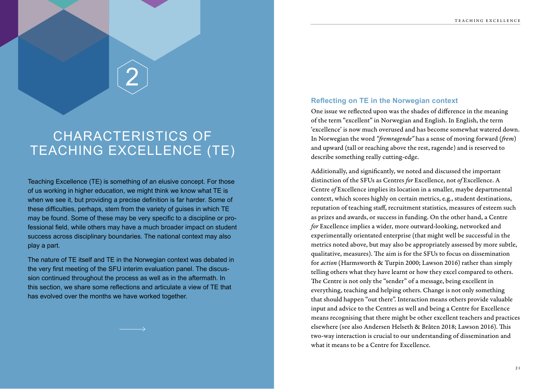## 2

### CHARACTERISTICS OF TEACHING EXCELLENCE (TE)

Teaching Excellence (TE) is something of an elusive concept. For those of us working in higher education, we might think we know what TE is when we see it, but providing a precise definition is far harder. Some of these difficulties, perhaps, stem from the variety of guises in which TE may be found. Some of these may be very specific to a discipline or professional field, while others may have a much broader impact on student success across disciplinary boundaries. The national context may also play a part.

The nature of TE itself and TE in the Norwegian context was debated in the very first meeting of the SFU interim evaluation panel. The discussion continued throughout the process as well as in the aftermath. In this section, we share some reflections and articulate a view of TE that has evolved over the months we have worked together.

#### **Reflecting on TE in the Norwegian context**

One issue we reflected upon was the shades of difference in the meaning of the term "excellent" in Norwegian and English. In English, the term 'excellence' is now much overused and has become somewhat watered down. In Norwegian the word *"fremragende"* has a sense of moving forward (*frem*) and upward (tall or reaching above the rest, ragende) and is reserved to describe something really cutting-edge.

Additionally, and significantly, we noted and discussed the important distinction of the SFUs as Centres *for* Excellence, not *of* Excellence. A Centre *of* Excellence implies its location in a smaller, maybe departmental context, which scores highly on certain metrics, e.g., student destinations, reputation of teaching staff, recruitment statistics, measures of esteem such as prizes and awards, or success in funding. On the other hand, a Centre *for* Excellence implies a wider, more outward-looking, networked and experimentally orientated enterprise (that might well be successful in the metrics noted above, but may also be appropriately assessed by more subtle, qualitative, measures). The aim is for the SFUs to focus on dissemination for *action* (Harmsworth & Turpin 2000; Lawson 2016) rather than simply telling others what they have learnt or how they excel compared to others. The Centre is not only the "sender" of a message, being excellent in everything, teaching and helping others. Change is not only something that should happen "out there". Interaction means others provide valuable input and advice to the Centres as well and being a Centre for Excellence means recognising that there might be other excellent teachers and practices elsewhere (see also Andersen Helseth & Bråten 2018; Lawson 2016). This two-way interaction is crucial to our understanding of dissemination and what it means to be a Centre for Excellence.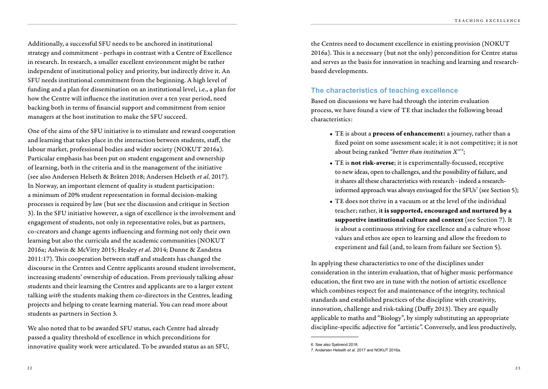Additionally, a successful SFU needs to be anchored in institutional strategy and commitment - perhaps in contrast with a Centre of Excellence in research. In research, a smaller excellent environment might be rather independent of institutional policy and priority, but indirectly drive it. An SFU needs institutional commitment from the beginning. A high level of funding and a plan for dissemination on an institutional level, i.e., a plan for how the Centre will influence the institution over a ten year period, need backing both in terms of financial support and commitment from senior managers at the host institution to make the SFU succeed.

One of the aims of the SFU initiative is to stimulate and reward cooperation and learning that takes place in the interaction between students, staff, the labour market, professional bodies and wider society (NOKUT 2016a). Particular emphasis has been put on student engagement and ownership of learning, both in the criteria and in the management of the initiative (see also Andersen Helseth & Bråten 2018; Andersen Helseth *et al*. 2017). In Norway, an important element of quality is student participation: a minimum of 20% student representation in formal decision-making processes is required by law (but see the discussion and critique in Section 3). In the SFU initiative however, a sign of excellence is the involvement and engagement of students, not only in representative roles, but as partners, co-creators and change agents influencing and forming not only their own learning but also the curricula and the academic communities (NOKUT 2016a; Ashwin & McVitty 2015; Healey *et al*. 2014; Dunne & Zandstra 2011:17). This cooperation between staff and students has changed the discourse in the Centres and Centre applicants around student involvement, increasing students' ownership of education. From previously talking *about*  students and their learning the Centres and applicants are to a larger extent talking *with* the students making them co-directors in the Centres, leading projects and helping to create learning material. You can read more about students as partners in Section 3.

We also noted that to be awarded SFU status, each Centre had already passed a quality threshold of excellence in which preconditions for innovative quality work were articulated. To be awarded status as an SFU, **6.** See also Sjøbrend 2018.

the Centres need to document excellence in existing provision (NOKUT 2016a). This is a necessary (but not the only) precondition for Centre status and serves as the basis for innovation in teaching and learning and researchbased developments.

#### **The characteristics of teaching excellence**

Based on discussions we have had through the interim evaluation process, we have found a view of TE that includes the following broad characteristics:

- TE is about a process of enhancement: a journey, rather than a fixed point on some assessment scale; it is not competitive; it is not about being ranked *"better than institution X"* <sup>6</sup> ;
- TE is not risk-averse; it is experimentally-focussed, receptive to new ideas, open to challenges, and the possibility of failure, and it shares all these characteristics with research - indeed a researchinformed approach was always envisaged for the SFUs<sup>7</sup> (see Section 5);
- TE does not thrive in a vacuum or at the level of the individual teacher; rather, it is supported, encouraged and nurtured by a supportive institutional culture and context (see Section 7). It is about a continuous striving for excellence and a culture whose values and ethos are open to learning and allow the freedom to experiment and fail (and, to learn from failure see Section 5).

In applying these characteristics to one of the disciplines under consideration in the interim evaluation, that of higher music performance education, the first two are in tune with the notion of artistic excellence which combines respect for and maintenance of the integrity, technical standards and established practices of the discipline with creativity, innovation, challenge and risk-taking (Duffy 2013). They are equally applicable to maths and "Biology", by simply substituting an appropriate discipline-specific adjective for "artistic". Conversely, and less productively,

<sup>7.</sup> Andersen Helseth *et al.* 2017 and NOKUT 2016a.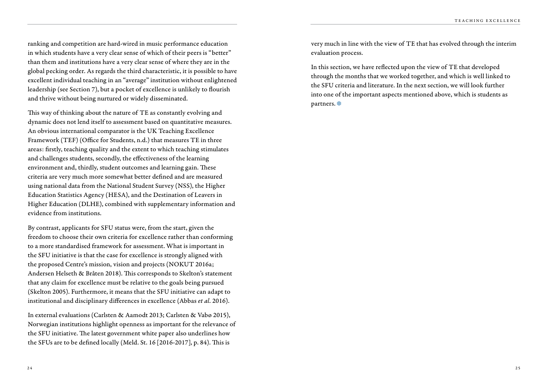ranking and competition are hard-wired in music performance education in which students have a very clear sense of which of their peers is "better" than them and institutions have a very clear sense of where they are in the global pecking order. As regards the third characteristic, it is possible to have excellent individual teaching in an "average" institution without enlightened leadership (see Section 7), but a pocket of excellence is unlikely to flourish and thrive without being nurtured or widely disseminated.

This way of thinking about the nature of TE as constantly evolving and dynamic does not lend itself to assessment based on quantitative measures. An obvious international comparator is the UK Teaching Excellence Framework (TEF) (Office for Students, n.d.) that measures TE in three areas: firstly, teaching quality and the extent to which teaching stimulates and challenges students, secondly, the effectiveness of the learning environment and, thirdly, student outcomes and learning gain. These criteria are very much more somewhat better defined and are measured using national data from the National Student Survey (NSS), the Higher Education Statistics Agency (HESA), and the Destination of Leavers in Higher Education (DLHE), combined with supplementary information and evidence from institutions.

By contrast, applicants for SFU status were, from the start, given the freedom to choose their own criteria for excellence rather than conforming to a more standardised framework for assessment. What is important in the SFU initiative is that the case for excellence is strongly aligned with the proposed Centre's mission, vision and projects (NOKUT 2016a; Andersen Helseth & Bråten 2018). This corresponds to Skelton's statement that any claim for excellence must be relative to the goals being pursued (Skelton 2005). Furthermore, it means that the SFU initiative can adapt to institutional and disciplinary differences in excellence (Abbas *et al*. 2016).

In external evaluations (Carlsten & Aamodt 2013; Carlsten & Vabø 2015), Norwegian institutions highlight openness as important for the relevance of the SFU initiative. The latest government white paper also underlines how the SFUs are to be defined locally (Meld. St. 16 [2016-2017], p. 84). This is

very much in line with the view of TE that has evolved through the interim evaluation process.

In this section, we have reflected upon the view of TE that developed through the months that we worked together, and which is well linked to the SFU criteria and literature. In the next section, we will look further into one of the important aspects mentioned above, which is students as partners.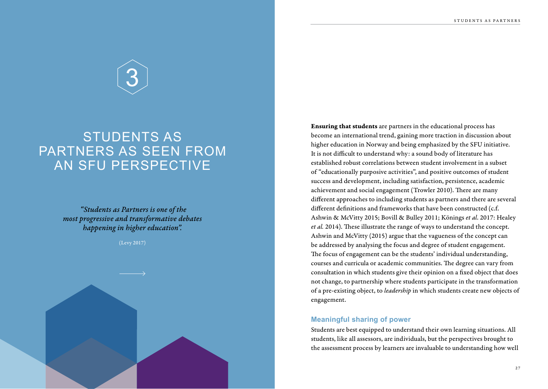# 3

### STUDENTS AS PARTNERS AS SEEN FROM AN SFU PERSPECTIVE

 *"Students as Partners is one of the most progressive and transformative debates happening in higher education".* 

#### (Levy 2017)

Ensuring that students are partners in the educational process has become an international trend, gaining more traction in discussion about higher education in Norway and being emphasized by the SFU initiative. It is not difficult to understand why: a sound body of literature has established robust correlations between student involvement in a subset of "educationally purposive activities", and positive outcomes of student success and development, including satisfaction, persistence, academic achievement and social engagement (Trowler 2010). There are many different approaches to including students as partners and there are several different definitions and frameworks that have been constructed (c.f. Ashwin & McVitty 2015; Bovill & Bulley 2011; Könings *et al*. 2017: Healey *et al.* 2014). These illustrate the range of ways to understand the concept. Ashwin and McVitty (2015) argue that the vagueness of the concept can be addressed by analysing the focus and degree of student engagement. The focus of engagement can be the students' individual understanding, courses and curricula or academic communities. The degree can vary from consultation in which students give their opinion on a fixed object that does not change, to partnership where students participate in the transformation of a pre-existing object, to *leadership* in which students create new objects of engagement.

#### **Meaningful sharing of power**

Students are best equipped to understand their own learning situations. All students, like all assessors, are individuals, but the perspectives brought to the assessment process by learners are invaluable to understanding how well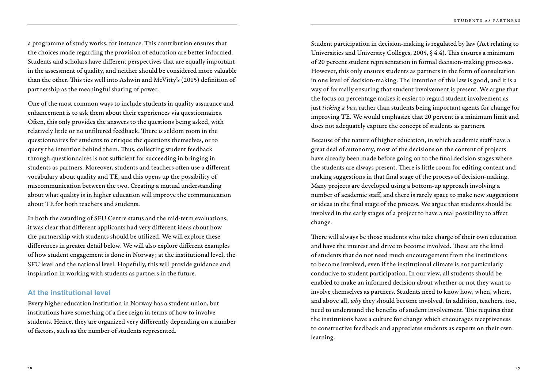a programme of study works, for instance. This contribution ensures that the choices made regarding the provision of education are better informed. Students and scholars have different perspectives that are equally important in the assessment of quality, and neither should be considered more valuable than the other. This ties well into Ashwin and McVitty's (2015) definition of partnership as the meaningful sharing of power.

One of the most common ways to include students in quality assurance and enhancement is to ask them about their experiences via questionnaires. Often, this only provides the answers to the questions being asked, with relatively little or no unfiltered feedback. There is seldom room in the questionnaires for students to critique the questions themselves, or to query the intention behind them. Thus, collecting student feedback through questionnaires is not sufficient for succeeding in bringing in students as partners. Moreover, students and teachers often use a different vocabulary about quality and TE, and this opens up the possibility of miscommunication between the two. Creating a mutual understanding about what quality is in higher education will improve the communication about TE for both teachers and students.

In both the awarding of SFU Centre status and the mid-term evaluations, it was clear that different applicants had very different ideas about how the partnership with students should be utilized. We will explore these differences in greater detail below. We will also explore different examples of how student engagement is done in Norway; at the institutional level, the SFU level and the national level. Hopefully, this will provide guidance and inspiration in working with students as partners in the future.

#### **At the institutional level**

Every higher education institution in Norway has a student union, but institutions have something of a free reign in terms of how to involve students. Hence, they are organized very differently depending on a number of factors, such as the number of students represented.

Student participation in decision-making is regulated by law (Act relating to Universities and University Colleges, 2005, § 4.4). This ensures a minimum of 20 percent student representation in formal decision-making processes. However, this only ensures students as partners in the form of consultation in one level of decision-making. The intention of this law is good, and it is a way of formally ensuring that student involvement is present. We argue that the focus on percentage makes it easier to regard student involvement as just *ticking a box*, rather than students being important agents for change for improving TE. We would emphasize that 20 percent is a minimum limit and does not adequately capture the concept of students as partners.

Because of the nature of higher education, in which academic staff have a great deal of autonomy, most of the decisions on the content of projects have already been made before going on to the final decision stages where the students are always present. There is little room for editing content and making suggestions in that final stage of the process of decision-making. Many projects are developed using a bottom-up approach involving a number of academic staff, and there is rarely space to make new suggestions or ideas in the final stage of the process. We argue that students should be involved in the early stages of a project to have a real possibility to affect change.

There will always be those students who take charge of their own education and have the interest and drive to become involved. These are the kind of students that do not need much encouragement from the institutions to become involved, even if the institutional climate is not particularly conducive to student participation. In our view, all students should be enabled to make an informed decision about whether or not they want to involve themselves as partners. Students need to know how, when, where, and above all, *why* they should become involved. In addition, teachers, too, need to understand the benefits of student involvement. This requires that the institutions have a culture for change which encourages receptiveness to constructive feedback and appreciates students as experts on their own learning.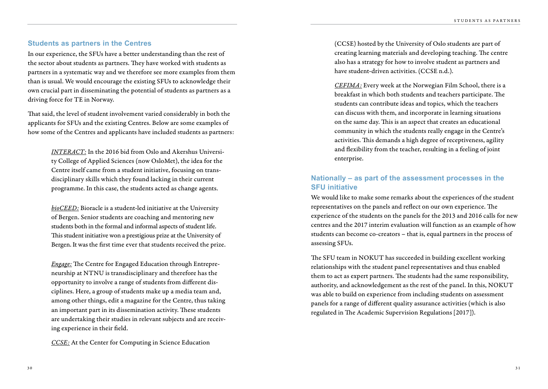#### **Students as partners in the Centres**

In our experience, the SFUs have a better understanding than the rest of the sector about students as partners. They have worked with students as partners in a systematic way and we therefore see more examples from them than is usual. We would encourage the existing SFUs to acknowledge their own crucial part in disseminating the potential of students as partners as a driving force for TE in Norway.

That said, the level of student involvement varied considerably in both the applicants for SFUs and the existing Centres. Below are some examples of how some of the Centres and applicants have included students as partners:

> *INTERACT:* In the 2016 bid from Oslo and Akershus University College of Applied Sciences (now OsloMet), the idea for the Centre itself came from a student initiative, focusing on transdisciplinary skills which they found lacking in their current programme. In this case, the students acted as change agents.

> *bioCEED:* Bioracle is a student-led initiative at the University of Bergen. Senior students are coaching and mentoring new students both in the formal and informal aspects of student life. This student initiative won a prestigious prize at the University of Bergen. It was the first time ever that students received the prize.

> *Engage:* The Centre for Engaged Education through Entrepreneurship at NTNU is transdisciplinary and therefore has the opportunity to involve a range of students from different disciplines. Here, a group of students make up a media team and, among other things, edit a magazine for the Centre, thus taking an important part in its dissemination activity. These students are undertaking their studies in relevant subjects and are receiving experience in their field.

*CCSE:* At the Center for Computing in Science Education

(CCSE) hosted by the University of Oslo students are part of creating learning materials and developing teaching. The centre also has a strategy for how to involve student as partners and have student-driven activities. (CCSE n.d.).

*CEFIMA:* Every week at the Norwegian Film School, there is a breakfast in which both students and teachers participate. The students can contribute ideas and topics, which the teachers can discuss with them, and incorporate in learning situations on the same day. This is an aspect that creates an educational community in which the students really engage in the Centre's activities. This demands a high degree of receptiveness, agility and flexibility from the teacher, resulting in a feeling of joint enterprise.

#### **Nationally – as part of the assessment processes in the SFU initiative**

We would like to make some remarks about the experiences of the student representatives on the panels and reflect on our own experience. The experience of the students on the panels for the 2013 and 2016 calls for new centres and the 2017 interim evaluation will function as an example of how students can become co-creators – that is, equal partners in the process of assessing SFUs.

The SFU team in NOKUT has succeeded in building excellent working relationships with the student panel representatives and thus enabled them to act as expert partners. The students had the same responsibility, authority, and acknowledgement as the rest of the panel. In this, NOKUT was able to build on experience from including students on assessment panels for a range of different quality assurance activities (which is also regulated in The Academic Supervision Regulations [2017]).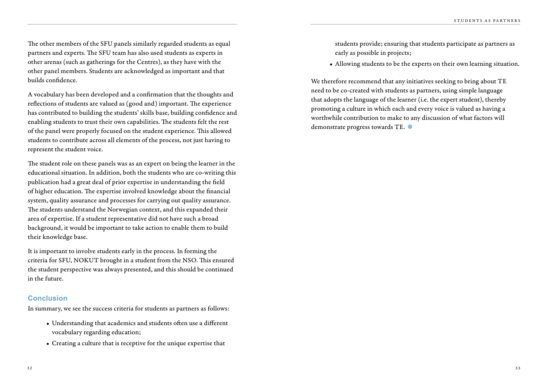The other members of the SFU panels similarly regarded students as equal partners and experts. The SFU team has also used students as experts in other arenas (such as gatherings for the Centres), as they have with the other panel members. Students are acknowledged as important and that builds confidence.

A vocabulary has been developed and a confirmation that the thoughts and reflections of students are valued as (good and) important. The experience has contributed to building the students' skills base, building confidence and enabling students to trust their own capabilities. The students felt the rest of the panel were properly focused on the student experience. This allowed students to contribute across all elements of the process, not just having to represent the student voice.

The student role on these panels was as an expert on being the learner in the educational situation. In addition, both the students who are co-writing this publication had a great deal of prior expertise in understanding the field of higher education. The expertise involved knowledge about the financial system, quality assurance and processes for carrying out quality assurance. The students understand the Norwegian context, and this expanded their area of expertise. If a student representative did not have such a broad background, it would be important to take action to enable them to build their knowledge base.

It is important to involve students early in the process. In forming the criteria for SFU, NOKUT brought in a student from the NSO. This ensured the student perspective was always presented, and this should be continued in the future.

#### **Conclusion**

In summary, we see the success criteria for students as partners as follows:

- Understanding that academics and students often use a different vocabulary regarding education;
- Creating a culture that is receptive for the unique expertise that

students provide; ensuring that students participate as partners as early as possible in projects;

• Allowing students to be the experts on their own learning situation.

We therefore recommend that any initiatives seeking to bring about TE need to be co-created with students as partners, using simple language that adopts the language of the learner (i.e. the expert student), thereby promoting a culture in which each and every voice is valued as having a worthwhile contribution to make to any discussion of what factors will demonstrate progress towards TE.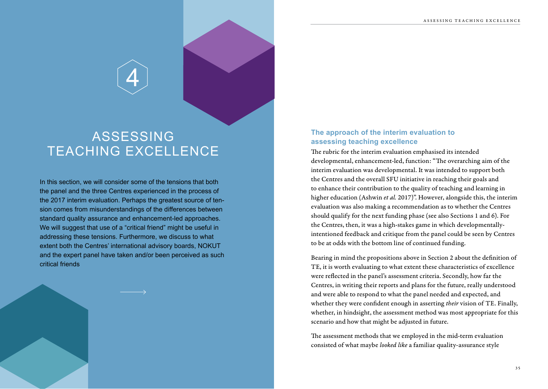### ASSESSING TEACHING EXCELLENCE

4

In this section, we will consider some of the tensions that both the panel and the three Centres experienced in the process of the 2017 interim evaluation. Perhaps the greatest source of tension comes from misunderstandings of the differences between standard quality assurance and enhancement-led approaches. We will suggest that use of a "critical friend" might be useful in addressing these tensions. Furthermore, we discuss to what extent both the Centres' international advisory boards, NOKUT and the expert panel have taken and/or been perceived as such critical friends

#### **The approach of the interim evaluation to assessing teaching excellence**

The rubric for the interim evaluation emphasised its intended developmental, enhancement-led, function: "The overarching aim of the interim evaluation was developmental. It was intended to support both the Centres and the overall SFU initiative in reaching their goals and to enhance their contribution to the quality of teaching and learning in higher education (Ashwin *et al.* 2017)". However, alongside this, the interim evaluation was also making a recommendation as to whether the Centres should qualify for the next funding phase (see also Sections 1 and 6). For the Centres, then, it was a high-stakes game in which developmentallyintentioned feedback and critique from the panel could be seen by Centres to be at odds with the bottom line of continued funding.

Bearing in mind the propositions above in Section 2 about the definition of TE, it is worth evaluating to what extent these characteristics of excellence were reflected in the panel's assessment criteria. Secondly, how far the Centres, in writing their reports and plans for the future, really understood and were able to respond to what the panel needed and expected, and whether they were confident enough in asserting *their* vision of TE. Finally, whether, in hindsight, the assessment method was most appropriate for this scenario and how that might be adjusted in future.

The assessment methods that we employed in the mid-term evaluation consisted of what maybe *looked like* a familiar quality-assurance style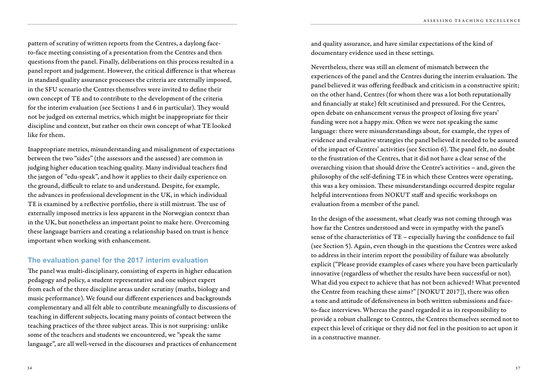pattern of scrutiny of written reports from the Centres, a daylong faceto-face meeting consisting of a presentation from the Centres and then questions from the panel. Finally, deliberations on this process resulted in a panel report and judgement. However, the critical difference is that whereas in standard quality assurance processes the criteria are externally imposed, in the SFU scenario the Centres themselves were invited to define their own concept of TE and to contribute to the development of the criteria for the interim evaluation (see Sections 1 and 6 in particular). They would not be judged on external metrics, which might be inappropriate for their discipline and context, but rather on their own concept of what TE looked like for them.

Inappropriate metrics, misunderstanding and misalignment of expectations between the two "sides" (the assessors and the assessed) are common in judging higher education teaching quality. Many individual teachers find the jargon of "edu-speak", and how it applies to their daily experience on the ground, difficult to relate to and understand. Despite, for example, the advances in professional development in the UK, in which individual TE is examined by a reflective portfolio, there is still mistrust. The use of externally imposed metrics is less apparent in the Norwegian context than in the UK, but nonetheless an important point to make here. Overcoming these language barriers and creating a relationship based on trust is hence important when working with enhancement.

#### **The evaluation panel for the 2017 interim evaluation**

The panel was multi-disciplinary, consisting of experts in higher education pedagogy and policy, a student representative and one subject expert from each of the three discipline areas under scrutiny (maths, biology and music performance). We found our different experiences and backgrounds complementary and all felt able to contribute meaningfully to discussions of teaching in different subjects, locating many points of contact between the teaching practices of the three subject areas. This is not surprising: unlike some of the teachers and students we encountered, we "speak the same language", are all well-versed in the discourses and practices of enhancement and quality assurance, and have similar expectations of the kind of documentary evidence used in these settings.

Nevertheless, there was still an element of mismatch between the experiences of the panel and the Centres during the interim evaluation. The panel believed it was offering feedback and criticism in a constructive spirit; on the other hand, Centres (for whom there was a lot both reputationally and financially at stake) felt scrutinised and pressured. For the Centres, open debate on enhancement versus the prospect of losing five years' funding were not a happy mix. Often we were not speaking the same language: there were misunderstandings about, for example, the types of evidence and evaluative strategies the panel believed it needed to be assured of the impact of Centres' activities (see Section 6). The panel felt, no doubt to the frustration of the Centres, that it did not have a clear sense of the overarching vision that should drive the Centre's activities – and, given the philosophy of the self-defining TE in which these Centres were operating, this was a key omission. These misunderstandings occurred despite regular helpful interventions from NOKUT staff and specific workshops on evaluation from a member of the panel.

In the design of the assessment, what clearly was not coming through was how far the Centres understood and were in sympathy with the panel's sense of the characteristics of TE – especially having the confidence to fail (see Section 5). Again, even though in the questions the Centres were asked to address in their interim report the possibility of failure was absolutely explicit ("Please provide examples of cases where you have been particularly innovative (regardless of whether the results have been successful or not). What did you expect to achieve that has not been achieved? What prevented the Centre from reaching these aims?" [NOKUT 2017]), there was often a tone and attitude of defensiveness in both written submissions and faceto-face interviews. Whereas the panel regarded it as its responsibility to provide a robust challenge to Centres, the Centres themselves seemed not to expect this level of critique or they did not feel in the position to act upon it in a constructive manner.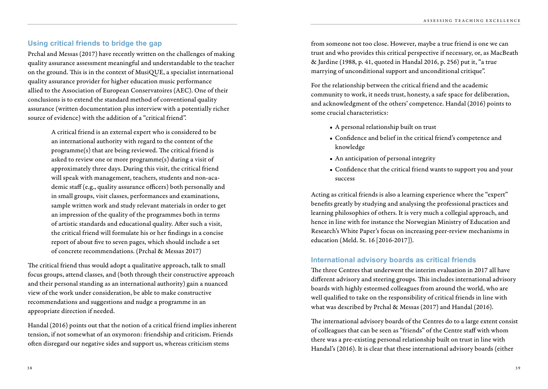#### **Using critical friends to bridge the gap**

Prchal and Messas (2017) have recently written on the challenges of making quality assurance assessment meaningful and understandable to the teacher on the ground. This is in the context of MusiQUE, a specialist international quality assurance provider for higher education music performance allied to the Association of European Conservatoires (AEC). One of their conclusions is to extend the standard method of conventional quality assurance (written documentation plus interview with a potentially richer source of evidence) with the addition of a "critical friend".

> A critical friend is an external expert who is considered to be an international authority with regard to the content of the programme(s) that are being reviewed. The critical friend is asked to review one or more programme(s) during a visit of approximately three days. During this visit, the critical friend will speak with management, teachers, students and non-academic staff (e.g., quality assurance officers) both personally and in small groups, visit classes, performances and examinations, sample written work and study relevant materials in order to get an impression of the quality of the programmes both in terms of artistic standards and educational quality. After such a visit, the critical friend will formulate his or her findings in a concise report of about five to seven pages, which should include a set of concrete recommendations. (Prchal & Messas 2017)

The critical friend thus would adopt a qualitative approach, talk to small focus groups, attend classes, and (both through their constructive approach and their personal standing as an international authority) gain a nuanced view of the work under consideration, be able to make constructive recommendations and suggestions and nudge a programme in an appropriate direction if needed.

Handal (2016) points out that the notion of a critical friend implies inherent tension, if not somewhat of an oxymoron: friendship and criticism. Friends often disregard our negative sides and support us, whereas criticism stems

from someone not too close. However, maybe a true friend is one we can trust and who provides this critical perspective if necessary, or, as MacBeath & Jardine (1988, p. 41, quoted in Handal 2016, p. 256) put it, "a true marrying of unconditional support and unconditional critique".

For the relationship between the critical friend and the academic community to work, it needs trust, honesty, a safe space for deliberation, and acknowledgment of the others' competence. Handal (2016) points to some crucial characteristics:

- A personal relationship built on trust
- Confidence and belief in the critical friend's competence and knowledge
- An anticipation of personal integrity
- Confidence that the critical friend wants to support you and your success

Acting as critical friends is also a learning experience where the "expert" benefits greatly by studying and analysing the professional practices and learning philosophies of others. It is very much a collegial approach, and hence in line with for instance the Norwegian Ministry of Education and Research's White Paper's focus on increasing peer-review mechanisms in education (Meld. St. 16 [2016-2017]).

#### **International advisory boards as critical friends**

The three Centres that underwent the interim evaluation in 2017 all have different advisory and steering groups. This includes international advisory boards with highly esteemed colleagues from around the world, who are well qualified to take on the responsibility of critical friends in line with what was described by Prchal & Messas (2017) and Handal (2016).

The international advisory boards of the Centres do to a large extent consist of colleagues that can be seen as "friends" of the Centre staff with whom there was a pre-existing personal relationship built on trust in line with Handal's (2016). It is clear that these international advisory boards (either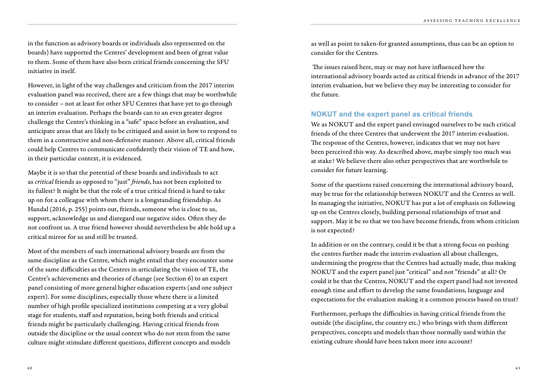in the function as advisory boards or individuals also represented on the boards) have supported the Centres' development and been of great value to them. Some of them have also been critical friends concerning the SFU initiative in itself.

However, in light of the way challenges and criticism from the 2017 interim evaluation panel was received, there are a few things that may be worthwhile to consider – not at least for other SFU Centres that have yet to go through an interim evaluation. Perhaps the boards can to an even greater degree challenge the Centre's thinking in a "safe" space before an evaluation, and anticipate areas that are likely to be critiqued and assist in how to respond to them in a constructive and non-defensive manner. Above all, critical friends could help Centres to communicate confidently their vision of TE and how, in their particular context, it is evidenced.

Maybe it is so that the potential of these boards and individuals to act as *critical* friends as opposed to "just" *friends*, has not been exploited to its fullest? It might be that the role of a true critical friend is hard to take up on for a colleague with whom there is a longstanding friendship. As Handal (2016, p. 255) points out, friends, someone who is close to us, support, acknowledge us and disregard our negative sides. Often they do not confront us. A true friend however should nevertheless be able hold up a critical mirror for us and still be trusted.

Most of the members of such international advisory boards are from the same discipline as the Centre, which might entail that they encounter some of the same difficulties as the Centres in articulating the vision of TE, the Centre's achievements and theories of change (see Section 6) to an expert panel consisting of more general higher education experts (and one subject expert). For some disciplines, especially those where there is a limited number of high profile specialized institutions competing at a very global stage for students, staff and reputation, being both friends and critical friends might be particularly challenging. Having critical friends from outside the discipline or the usual context who do not stem from the same culture might stimulate different questions, different concepts and models

as well as point to taken-for granted assumptions, thus can be an option to consider for the Centres.

 The issues raised here, may or may not have influenced how the international advisory boards acted as critical friends in advance of the 2017 interim evaluation, but we believe they may be interesting to consider for the future.

#### **NOKUT and the expert panel as critical friends**

We as NOKUT and the expert panel envisaged ourselves to be such critical friends of the three Centres that underwent the 2017 interim evaluation. The response of the Centres, however, indicates that we may not have been perceived this way. As described above, maybe simply too much was at stake? We believe there also other perspectives that are worthwhile to consider for future learning.

Some of the questions raised concerning the international advisory board, may be true for the relationship between NOKUT and the Centres as well. In managing the initiative, NOKUT has put a lot of emphasis on following up on the Centres closely, building personal relationships of trust and support. May it be so that we too have become friends, from whom criticism is not expected?

In addition or on the contrary, could it be that a strong focus on pushing the centres further made the interim evaluation all about challenges, undermining the progress that the Centres had actually made, thus making NOKUT and the expert panel just "critical" and not "friends" at all? Or could it be that the Centres, NOKUT and the expert panel had not invested enough time and effort to develop the same foundations, language and expectations for the evaluation making it a common process based on trust?

Furthermore, perhaps the difficulties in having critical friends from the outside (the discipline, the country etc.) who brings with them different perspectives, concepts and models than those normally used within the existing culture should have been taken more into account?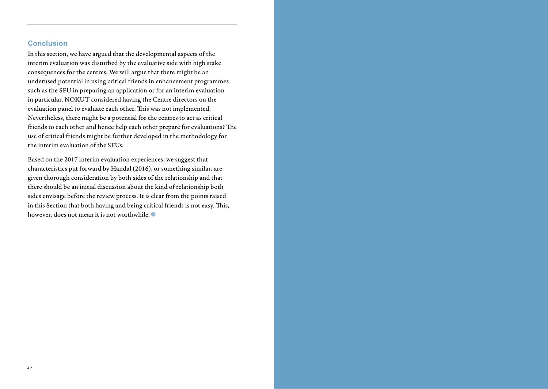#### **Conclusion**

In this section, we have argued that the developmental aspects of the interim evaluation was disturbed by the evaluative side with high stake consequences for the centres. We will argue that there might be an underused potential in using critical friends in enhancement programmes such as the SFU in preparing an application or for an interim evaluation in particular. NOKUT considered having the Centre directors on the evaluation panel to evaluate each other. This was not implemented. Nevertheless, there might be a potential for the centres to act as critical friends to each other and hence help each other prepare for evaluations? The use of critical friends might be further developed in the methodology for the interim evaluation of the SFUs.

Based on the 2017 interim evaluation experiences, we suggest that characteristics put forward by Handal (2016), or something similar, are given thorough consideration by both sides of the relationship and that there should be an initial discussion about the kind of relationship both sides envisage before the review process. It is clear from the points raised in this Section that both having and being critical friends is not easy. This, however, does not mean it is not worthwhile.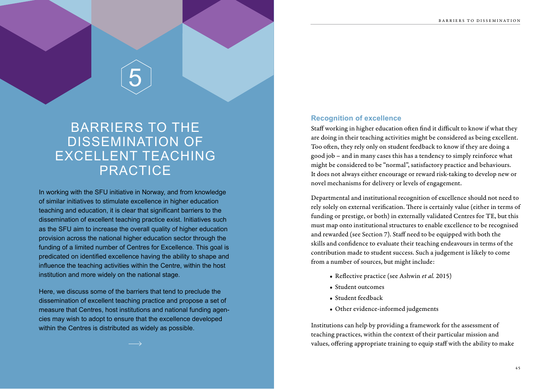5

### BARRIERS TO THE DISSEMINATION OF EXCELLENT TEACHING PRACTICE

In working with the SFU initiative in Norway, and from knowledge of similar initiatives to stimulate excellence in higher education teaching and education, it is clear that significant barriers to the dissemination of excellent teaching practice exist. Initiatives such as the SFU aim to increase the overall quality of higher education provision across the national higher education sector through the funding of a limited number of Centres for Excellence. This goal is predicated on identified excellence having the ability to shape and influence the teaching activities within the Centre, within the host institution and more widely on the national stage.

Here, we discuss some of the barriers that tend to preclude the dissemination of excellent teaching practice and propose a set of measure that Centres, host institutions and national funding agencies may wish to adopt to ensure that the excellence developed within the Centres is distributed as widely as possible.

#### **Recognition of excellence**

Staff working in higher education often find it difficult to know if what they are doing in their teaching activities might be considered as being excellent. Too often, they rely only on student feedback to know if they are doing a good job – and in many cases this has a tendency to simply reinforce what might be considered to be "normal", satisfactory practice and behaviours. It does not always either encourage or reward risk-taking to develop new or novel mechanisms for delivery or levels of engagement.

Departmental and institutional recognition of excellence should not need to rely solely on external verification. There is certainly value (either in terms of funding or prestige, or both) in externally validated Centres for TE, but this must map onto institutional structures to enable excellence to be recognised and rewarded (see Section 7). Staff need to be equipped with both the skills and confidence to evaluate their teaching endeavours in terms of the contribution made to student success. Such a judgement is likely to come from a number of sources, but might include:

- Reflective practice (see Ashwin *et al.* 2015)
- Student outcomes
- Student feedback
- Other evidence-informed judgements

Institutions can help by providing a framework for the assessment of teaching practices, within the context of their particular mission and values, offering appropriate training to equip staff with the ability to make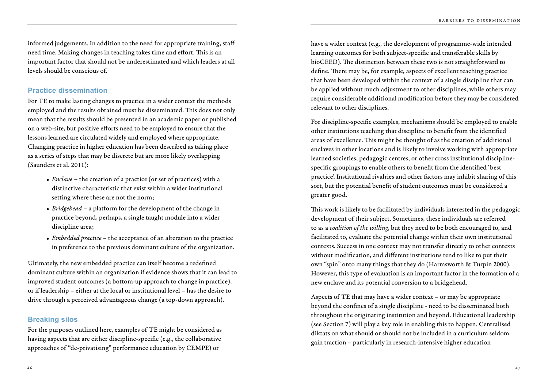informed judgements. In addition to the need for appropriate training, staff need time. Making changes in teaching takes time and effort. This is an important factor that should not be underestimated and which leaders at all levels should be conscious of.

#### **Practice dissemination**

For TE to make lasting changes to practice in a wider context the methods employed and the results obtained must be disseminated. This does not only mean that the results should be presented in an academic paper or published on a web-site, but positive efforts need to be employed to ensure that the lessons learned are circulated widely and employed where appropriate. Changing practice in higher education has been described as taking place as a series of steps that may be discrete but are more likely overlapping (Saunders et al. 2011):

- *Enclave* the creation of a practice (or set of practices) with a distinctive characteristic that exist within a wider institutional setting where these are not the norm;
- *Bridgehead*  a platform for the development of the change in practice beyond, perhaps, a single taught module into a wider discipline area;
- *Embedded practice* the acceptance of an alteration to the practice in preference to the previous dominant culture of the organization.

Ultimately, the new embedded practice can itself become a redefined dominant culture within an organization if evidence shows that it can lead to improved student outcomes (a bottom-up approach to change in practice), or if leadership – either at the local or institutional level – has the desire to drive through a perceived advantageous change (a top-down approach).

#### **Breaking silos**

For the purposes outlined here, examples of TE might be considered as having aspects that are either discipline-specific (e.g., the collaborative approaches of "de-privatising" performance education by CEMPE) or

have a wider context (e.g., the development of programme-wide intended learning outcomes for both subject-specific and transferable skills by bioCEED). The distinction between these two is not straightforward to define. There may be, for example, aspects of excellent teaching practice that have been developed within the context of a single discipline that can be applied without much adjustment to other disciplines, while others may require considerable additional modification before they may be considered relevant to other disciplines.

For discipline-specific examples, mechanisms should be employed to enable other institutions teaching that discipline to benefit from the identified areas of excellence. This might be thought of as the creation of additional enclaves in other locations and is likely to involve working with appropriate learned societies, pedagogic centres, or other cross institutional disciplinespecific groupings to enable others to benefit from the identified 'best practice'. Institutional rivalries and other factors may inhibit sharing of this sort, but the potential benefit of student outcomes must be considered a greater good.

This work is likely to be facilitated by individuals interested in the pedagogic development of their subject. Sometimes, these individuals are referred to as a *coalition of the willing*, but they need to be both encouraged to, and facilitated to, evaluate the potential change within their own institutional contexts. Success in one context may not transfer directly to other contexts without modification, and different institutions tend to like to put their own "spin" onto many things that they do (Harmsworth & Turpin 2000). However, this type of evaluation is an important factor in the formation of a new enclave and its potential conversion to a bridgehead.

Aspects of TE that may have a wider context – or may be appropriate beyond the confines of a single discipline - need to be disseminated both throughout the originating institution and beyond. Educational leadership (see Section 7) will play a key role in enabling this to happen. Centralised diktats on what should or should not be included in a curriculum seldom gain traction – particularly in research-intensive higher education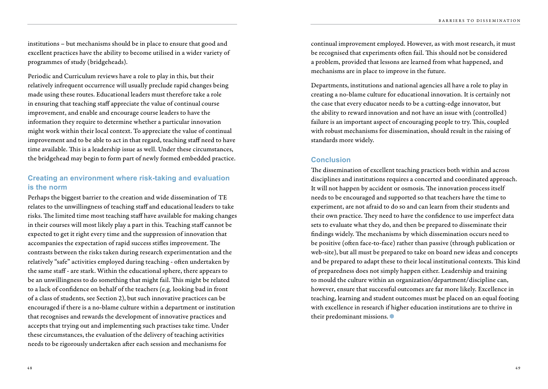institutions – but mechanisms should be in place to ensure that good and excellent practices have the ability to become utilised in a wider variety of programmes of study (bridgeheads).

Periodic and Curriculum reviews have a role to play in this, but their relatively infrequent occurrence will usually preclude rapid changes being made using these routes. Educational leaders must therefore take a role in ensuring that teaching staff appreciate the value of continual course improvement, and enable and encourage course leaders to have the information they require to determine whether a particular innovation might work within their local context. To appreciate the value of continual improvement and to be able to act in that regard, teaching staff need to have time available. This is a leadership issue as well. Under these circumstances, the bridgehead may begin to form part of newly formed embedded practice.

#### **Creating an environment where risk-taking and evaluation is the norm**

Perhaps the biggest barrier to the creation and wide dissemination of TE relates to the unwillingness of teaching staff and educational leaders to take risks. The limited time most teaching staff have available for making changes in their courses will most likely play a part in this. Teaching staff cannot be expected to get it right every time and the suppression of innovation that accompanies the expectation of rapid success stifles improvement. The contrasts between the risks taken during research experimentation and the relatively "safe" activities employed during teaching - often undertaken by the same staff - are stark. Within the educational sphere, there appears to be an unwillingness to do something that might fail. This might be related to a lack of confidence on behalf of the teachers (e.g. looking bad in front of a class of students, see Section 2), but such innovative practices can be encouraged if there is a no-blame culture within a department or institution that recognises and rewards the development of innovative practices and accepts that trying out and implementing such practises take time. Under these circumstances, the evaluation of the delivery of teaching activities needs to be rigorously undertaken after each session and mechanisms for

continual improvement employed. However, as with most research, it must be recognised that experiments often fail. This should not be considered a problem, provided that lessons are learned from what happened, and mechanisms are in place to improve in the future.

Departments, institutions and national agencies all have a role to play in creating a no-blame culture for educational innovation. It is certainly not the case that every educator needs to be a cutting-edge innovator, but the ability to reward innovation and not have an issue with (controlled) failure is an important aspect of encouraging people to try. This, coupled with robust mechanisms for dissemination, should result in the raising of standards more widely.

#### **Conclusion**

The dissemination of excellent teaching practices both within and across disciplines and institutions requires a concerted and coordinated approach. It will not happen by accident or osmosis. The innovation process itself needs to be encouraged and supported so that teachers have the time to experiment, are not afraid to do so and can learn from their students and their own practice. They need to have the confidence to use imperfect data sets to evaluate what they do, and then be prepared to disseminate their findings widely. The mechanisms by which dissemination occurs need to be positive (often face-to-face) rather than passive (through publication or web-site), but all must be prepared to take on board new ideas and concepts and be prepared to adapt these to their local institutional contexts. This kind of preparedness does not simply happen either. Leadership and training to mould the culture within an organization/department/discipline can, however, ensure that successful outcomes are far more likely. Excellence in teaching, learning and student outcomes must be placed on an equal footing with excellence in research if higher education institutions are to thrive in their predominant missions.  $\bullet$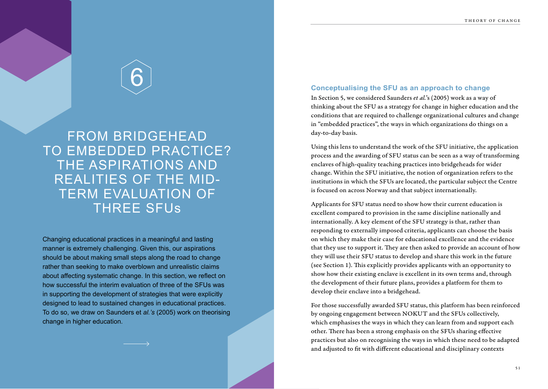6

FROM BRIDGEHEAD TO EMBEDDED PRACTICE? THE ASPIRATIONS AND REALITIES OF THE MID-TERM EVALUATION OF THREE SFUs

Changing educational practices in a meaningful and lasting manner is extremely challenging. Given this, our aspirations should be about making small steps along the road to change rather than seeking to make overblown and unrealistic claims about affecting systematic change. In this section, we reflect on how successful the interim evaluation of three of the SFUs was in supporting the development of strategies that were explicitly designed to lead to sustained changes in educational practices. To do so, we draw on Saunders et *al.'s* (2005) work on theorising change in higher education.

#### **Conceptualising the SFU as an approach to change**

In Section 5, we considered Saunders *et al.*'s (2005) work as a way of thinking about the SFU as a strategy for change in higher education and the conditions that are required to challenge organizational cultures and change in "embedded practices", the ways in which organizations do things on a day-to-day basis.

Using this lens to understand the work of the SFU initiative, the application process and the awarding of SFU status can be seen as a way of transforming enclaves of high-quality teaching practices into bridgeheads for wider change. Within the SFU initiative, the notion of organization refers to the institutions in which the SFUs are located, the particular subject the Centre is focused on across Norway and that subject internationally.

Applicants for SFU status need to show how their current education is excellent compared to provision in the same discipline nationally and internationally. A key element of the SFU strategy is that, rather than responding to externally imposed criteria, applicants can choose the basis on which they make their case for educational excellence and the evidence that they use to support it. They are then asked to provide an account of how they will use their SFU status to develop and share this work in the future (see Section 1). This explicitly provides applicants with an opportunity to show how their existing enclave is excellent in its own terms and, through the development of their future plans, provides a platform for them to develop their enclave into a bridgehead.

For those successfully awarded SFU status, this platform has been reinforced by ongoing engagement between NOKUT and the SFUs collectively, which emphasises the ways in which they can learn from and support each other. There has been a strong emphasis on the SFUs sharing effective practices but also on recognising the ways in which these need to be adapted and adjusted to fit with different educational and disciplinary contexts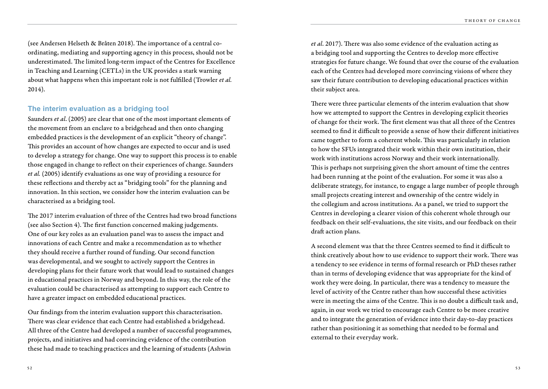(see Andersen Helseth & Bråten 2018). The importance of a central coordinating, mediating and supporting agency in this process, should not be underestimated. The limited long-term impact of the Centres for Excellence in Teaching and Learning (CETLs) in the UK provides a stark warning about what happens when this important role is not fulfilled (Trowler *et al.* 2014).

#### **The interim evaluation as a bridging tool**

Saunders *et al*. (2005) are clear that one of the most important elements of the movement from an enclave to a bridgehead and then onto changing embedded practices is the development of an explicit "theory of change". This provides an account of how changes are expected to occur and is used to develop a strategy for change. One way to support this process is to enable those engaged in change to reflect on their experiences of change. Saunders *et al.* (2005) identify evaluations as one way of providing a resource for these reflections and thereby act as "bridging tools" for the planning and innovation. In this section, we consider how the interim evaluation can be characterised as a bridging tool.

The 2017 interim evaluation of three of the Centres had two broad functions (see also Section 4). The first function concerned making judgements. One of our key roles as an evaluation panel was to assess the impact and innovations of each Centre and make a recommendation as to whether they should receive a further round of funding. Our second function was developmental, and we sought to actively support the Centres in developing plans for their future work that would lead to sustained changes in educational practices in Norway and beyond. In this way, the role of the evaluation could be characterised as attempting to support each Centre to have a greater impact on embedded educational practices.

Our findings from the interim evaluation support this characterisation. There was clear evidence that each Centre had established a bridgehead. All three of the Centre had developed a number of successful programmes, projects, and initiatives and had convincing evidence of the contribution these had made to teaching practices and the learning of students (Ashwin

*et al*. 2017). There was also some evidence of the evaluation acting as a bridging tool and supporting the Centres to develop more effective strategies for future change. We found that over the course of the evaluation each of the Centres had developed more convincing visions of where they saw their future contribution to developing educational practices within their subject area.

There were three particular elements of the interim evaluation that show how we attempted to support the Centres in developing explicit theories of change for their work. The first element was that all three of the Centres seemed to find it difficult to provide a sense of how their different initiatives came together to form a coherent whole. This was particularly in relation to how the SFUs integrated their work within their own institution, their work with institutions across Norway and their work internationally. This is perhaps not surprising given the short amount of time the centres had been running at the point of the evaluation. For some it was also a deliberate strategy, for instance, to engage a large number of people through small projects creating interest and ownership of the centre widely in the collegium and across institutions. As a panel, we tried to support the Centres in developing a clearer vision of this coherent whole through our feedback on their self-evaluations, the site visits, and our feedback on their draft action plans.

A second element was that the three Centres seemed to find it difficult to think creatively about how to use evidence to support their work. There was a tendency to see evidence in terms of formal research or PhD theses rather than in terms of developing evidence that was appropriate for the kind of work they were doing. In particular, there was a tendency to measure the level of activity of the Centre rather than how successful these activities were in meeting the aims of the Centre. This is no doubt a difficult task and, again, in our work we tried to encourage each Centre to be more creative and to integrate the generation of evidence into their day-to-day practices rather than positioning it as something that needed to be formal and external to their everyday work.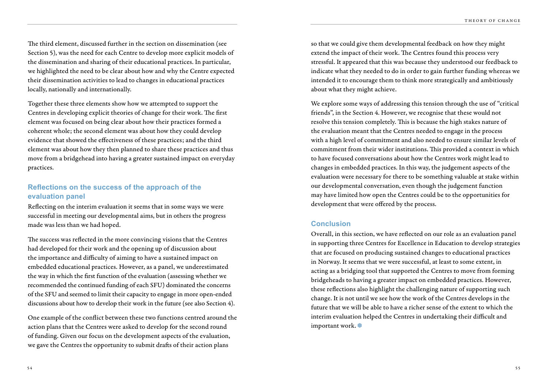The third element, discussed further in the section on dissemination (see Section 5), was the need for each Centre to develop more explicit models of the dissemination and sharing of their educational practices. In particular, we highlighted the need to be clear about how and why the Centre expected their dissemination activities to lead to changes in educational practices locally, nationally and internationally.

Together these three elements show how we attempted to support the Centres in developing explicit theories of change for their work. The first element was focused on being clear about how their practices formed a coherent whole; the second element was about how they could develop evidence that showed the effectiveness of these practices; and the third element was about how they then planned to share these practices and thus move from a bridgehead into having a greater sustained impact on everyday practices.

#### **Reflections on the success of the approach of the evaluation panel**

Reflecting on the interim evaluation it seems that in some ways we were successful in meeting our developmental aims, but in others the progress made was less than we had hoped.

The success was reflected in the more convincing visions that the Centres had developed for their work and the opening up of discussion about the importance and difficulty of aiming to have a sustained impact on embedded educational practices. However, as a panel, we underestimated the way in which the first function of the evaluation (assessing whether we recommended the continued funding of each SFU) dominated the concerns of the SFU and seemed to limit their capacity to engage in more open-ended discussions about how to develop their work in the future (see also Section 4).

One example of the conflict between these two functions centred around the action plans that the Centres were asked to develop for the second round of funding. Given our focus on the development aspects of the evaluation, we gave the Centres the opportunity to submit drafts of their action plans

so that we could give them developmental feedback on how they might extend the impact of their work. The Centres found this process very stressful. It appeared that this was because they understood our feedback to indicate what they needed to do in order to gain further funding whereas we intended it to encourage them to think more strategically and ambitiously about what they might achieve.

We explore some ways of addressing this tension through the use of "critical friends", in the Section 4. However, we recognise that these would not resolve this tension completely. This is because the high stakes nature of the evaluation meant that the Centres needed to engage in the process with a high level of commitment and also needed to ensure similar levels of commitment from their wider institutions. This provided a context in which to have focused conversations about how the Centres work might lead to changes in embedded practices. In this way, the judgement aspects of the evaluation were necessary for there to be something valuable at stake within our developmental conversation, even though the judgement function may have limited how open the Centres could be to the opportunities for development that were offered by the process.

#### **Conclusion**

Overall, in this section, we have reflected on our role as an evaluation panel in supporting three Centres for Excellence in Education to develop strategies that are focused on producing sustained changes to educational practices in Norway. It seems that we were successful, at least to some extent, in acting as a bridging tool that supported the Centres to move from forming bridgeheads to having a greater impact on embedded practices. However, these reflections also highlight the challenging nature of supporting such change. It is not until we see how the work of the Centres develops in the future that we will be able to have a richer sense of the extent to which the interim evaluation helped the Centres in undertaking their difficult and important work.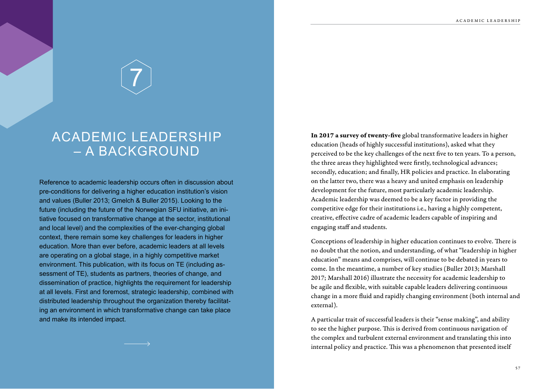7

### ACADEMIC LEADERSHIP – A BACKGROUND

Reference to academic leadership occurs often in discussion about pre-conditions for delivering a higher education institution's vision and values (Buller 2013; Gmelch & Buller 2015). Looking to the future (including the future of the Norwegian SFU initiative, an initiative focused on transformative change at the sector, institutional and local level) and the complexities of the ever-changing global context, there remain some key challenges for leaders in higher education. More than ever before, academic leaders at all levels are operating on a global stage, in a highly competitive market environment. This publication, with its focus on TE (including assessment of TE), students as partners, theories of change, and dissemination of practice, highlights the requirement for leadership at all levels. First and foremost, strategic leadership, combined with distributed leadership throughout the organization thereby facilitating an environment in which transformative change can take place and make its intended impact.

In 2017 a survey of twenty-five global transformative leaders in higher education (heads of highly successful institutions), asked what they perceived to be the key challenges of the next five to ten years. To a person, the three areas they highlighted were firstly, technological advances; secondly, education; and finally, HR policies and practice. In elaborating on the latter two, there was a heavy and united emphasis on leadership development for the future, most particularly academic leadership. Academic leadership was deemed to be a key factor in providing the competitive edge for their institutions i.e., having a highly competent, creative, effective cadre of academic leaders capable of inspiring and engaging staff and students.

Conceptions of leadership in higher education continues to evolve. There is no doubt that the notion, and understanding, of what "leadership in higher education" means and comprises, will continue to be debated in years to come. In the meantime, a number of key studies (Buller 2013; Marshall 2017; Marshall 2016) illustrate the necessity for academic leadership to be agile and flexible, with suitable capable leaders delivering continuous change in a more fluid and rapidly changing environment (both internal and external).

A particular trait of successful leaders is their "sense making", and ability to see the higher purpose. This is derived from continuous navigation of the complex and turbulent external environment and translating this into internal policy and practice. This was a phenomenon that presented itself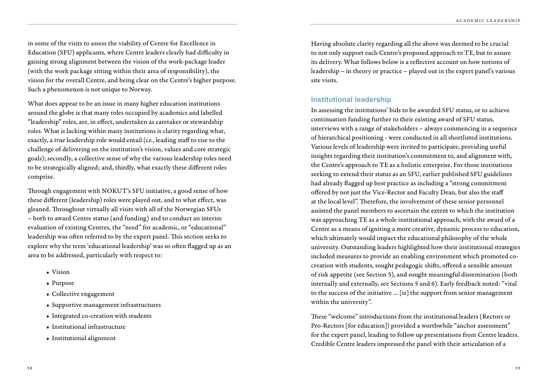in some of the visits to assess the viability of Centre for Excellence in Education (SFU) applicants, where Centre leaders clearly had difficulty in gaining strong alignment between the vision of the work-package leader (with the work package sitting within their area of responsibility), the vision for the overall Centre, and being clear on the Centre's higher purpose. Such a phenomenon is not unique to Norway.

What does appear to be an issue in many higher education institutions around the globe is that many roles occupied by academics and labelled "leadership" roles, are, in effect, undertaken as caretaker or stewardship roles. What is lacking within many institutions is clarity regarding what, exactly, a *true* leadership role would entail (*i.e.*, leading staff to rise to the challenge of delivering on the institution's vision, values and core strategic goals); secondly, a collective sense of why the various leadership roles need to be strategically aligned; and, thirdly, what exactly these different roles comprise.

Through engagement with NOKUT's SFU initiative, a good sense of how these different (leadership) roles were played out, and to what effect, was gleaned. Throughout virtually all visits with all of the Norwegian SFUs – both to award Centre status (and funding) and to conduct an interim evaluation of existing Centres, the "need" for academic, or "educational" leadership was often referred to by the expert panel. This section seeks to explore why the term 'educational leadership' was so often flagged up as an area to be addressed, particularly with respect to:

- Vision
- Purpose
- Collective engagement
- Supportive management infrastructures
- Integrated co-creation with students
- Institutional infrastructure
- Institutional alignment

Having absolute clarity regarding all the above was deemed to be crucial to not only support each Centre's proposed approach to TE, but to assure its delivery. What follows below is a reflective account on how notions of leadership – in theory or practice – played out in the expert panel's various site visits.

#### **Institutional leadership**

In assessing the institutions' bids to be awarded SFU status, or to achieve continuation funding further to their existing award of SFU status, interviews with a range of stakeholders – always commencing in a sequence of hierarchical positioning - were conducted in all shortlisted institutions. Various levels of leadership were invited to participate, providing useful insights regarding their institution's commitment to, and alignment with, the Centre's approach to TE as a holistic enterprise. For those institutions seeking to extend their status as an SFU, earlier published SFU guidelines had already flagged up best practice as including a "strong commitment offered by not just the Vice-Rector and Faculty Dean, but also the staff at the local level". Therefore, the involvement of these senior personnel assisted the panel members to ascertain the extent to which the institution was approaching TE as a whole institutional approach, with the award of a Centre as a means of igniting a more creative, dynamic process to education, which ultimately would impact the educational philosophy of the whole university. Outstanding leaders highlighted how their institutional strategies included measures to provide an enabling environment which promoted cocreation with students, sought pedagogic shifts, offered a sensible amount of risk appetite (see Section 5), and sought meaningful dissemination (both internally and externally, see Sections 5 and 6). Early feedback noted: "vital to the success of the initiative … [is] the support from senior management within the university".

These "welcome" introductions from the institutional leaders (Rectors or Pro-Rectors [for education]) provided a worthwhile "anchor assessment" for the expert panel, leading to follow up presentations from Centre leaders. Credible Centre leaders impressed the panel with their articulation of a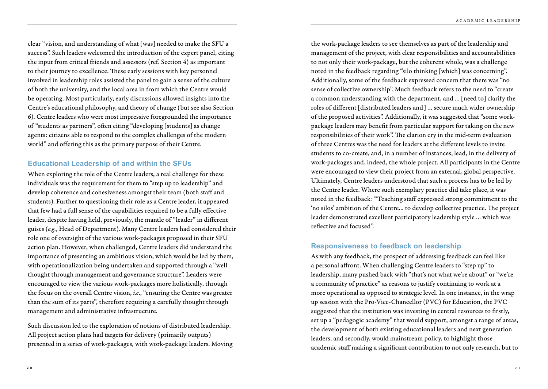clear "vision, and understanding of what [was] needed to make the SFU a success". Such leaders welcomed the introduction of the expert panel, citing the input from critical friends and assessors (ref. Section 4) as important to their journey to excellence. These early sessions with key personnel involved in leadership roles assisted the panel to gain a sense of the culture of both the university, and the local area in from which the Centre would be operating. Most particularly, early discussions allowed insights into the Centre's educational philosophy, and theory of change (but see also Section 6). Centre leaders who were most impressive foregrounded the importance of "students as partners", often citing "developing [students] as change agents: citizens able to respond to the complex challenges of the modern world" and offering this as the primary purpose of their Centre.

#### **Educational Leadership of and within the SFUs**

When exploring the role of the Centre leaders, a real challenge for these individuals was the requirement for them to "step up to leadership" and develop coherence and cohesiveness amongst their team (both staff and students). Further to questioning their role as a Centre leader, it appeared that few had a full sense of the capabilities required to be a fully effective leader, despite having held, previously, the mantle of "leader" in different guises (*e.g.*, Head of Department). Many Centre leaders had considered their role one of oversight of the various work-packages proposed in their SFU action plan. However, when challenged, Centre leaders did understand the importance of presenting an ambitious vision, which would be led by them, with operationalization being undertaken and supported through a "well thought through management and governance structure". Leaders were encouraged to view the various work-packages more holistically, through the focus on the overall Centre vision, *i.e*., "ensuring the Centre was greater than the sum of its parts", therefore requiring a carefully thought through management and administrative infrastructure.

Such discussion led to the exploration of notions of distributed leadership. All project action plans had targets for delivery (primarily outputs) presented in a series of work-packages, with work-package leaders. Moving the work-package leaders to see themselves as part of the leadership and management of the project, with clear responsibilities and accountabilities to not only their work-package, but the coherent whole, was a challenge noted in the feedback regarding "silo thinking [which] was concerning". Additionally, some of the feedback expressed concern that there was "no sense of collective ownership". Much feedback refers to the need to "create a common understanding with the department, and … [need to] clarify the roles of different [distributed leaders and] … secure much wider ownership of the proposed activities". Additionally, it was suggested that "some workpackage leaders may benefit from particular support for taking on the new responsibilities of their work". The clarion cry in the mid-term evaluation of three Centres was the need for leaders at the different levels to invite students to co-create, and, in a number of instances, lead, in the delivery of work-packages and, indeed, the whole project. All participants in the Centre were encouraged to view their project from an external, global perspective. Ultimately, Centre leaders understood that such a process has to be led by the Centre leader. Where such exemplary practice did take place, it was noted in the feedback: "Teaching staff expressed strong commitment to the 'no silos' ambition of the Centre… to develop collective practice. The project leader demonstrated excellent participatory leadership style … which was reflective and focused".

#### **Responsiveness to feedback on leadership**

As with any feedback, the prospect of addressing feedback can feel like a personal affront. When challenging Centre leaders to "step up" to leadership, many pushed back with "that's not what we're about" or "we're a community of practice" as reasons to justify continuing to work at a more operational as opposed to strategic level. In one instance, in the wrap up session with the Pro-Vice-Chancellor (PVC) for Education, the PVC suggested that the institution was investing in central resources to firstly, set up a "pedagogic academy" that would support, amongst a range of areas, the development of both existing educational leaders and next generation leaders, and secondly, would mainstream policy, to highlight those academic staff making a significant contribution to not only research, but to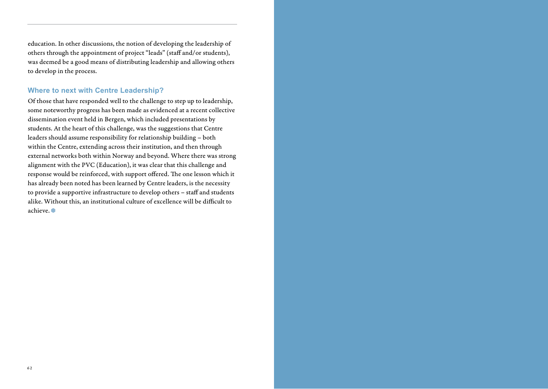education. In other discussions, the notion of developing the leadership of others through the appointment of project "leads" (staff and/or students), was deemed be a good means of distributing leadership and allowing others to develop in the process.

#### **Where to next with Centre Leadership?**

Of those that have responded well to the challenge to step up to leadership, some noteworthy progress has been made as evidenced at a recent collective dissemination event held in Bergen, which included presentations by students. At the heart of this challenge, was the suggestions that Centre leaders should assume responsibility for relationship building – both within the Centre, extending across their institution, and then through external networks both within Norway and beyond. Where there was strong alignment with the PVC (Education), it was clear that this challenge and response would be reinforced, with support offered. The one lesson which it has already been noted has been learned by Centre leaders, is the necessity to provide a supportive infrastructure to develop others – staff and students alike. Without this, an institutional culture of excellence will be difficult to achieve.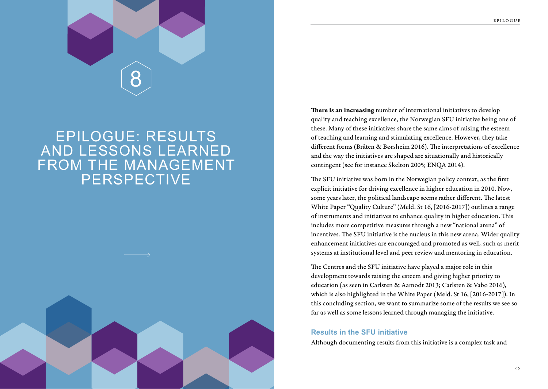

### EPILOGUE: RESULTS AND LESSONS LEARNED FROM THE MANAGEMENT PERSPECTIVE



There is an increasing number of international initiatives to develop quality and teaching excellence, the Norwegian SFU initiative being one of these. Many of these initiatives share the same aims of raising the esteem of teaching and learning and stimulating excellence. However, they take different forms (Bråten & Børsheim 2016). The interpretations of excellence and the way the initiatives are shaped are situationally and historically contingent (see for instance Skelton 2005; ENQA 2014).

The SFU initiative was born in the Norwegian policy context, as the first explicit initiative for driving excellence in higher education in 2010. Now, some years later, the political landscape seems rather different. The latest White Paper "Quality Culture" (Meld. St 16, [2016-2017]) outlines a range of instruments and initiatives to enhance quality in higher education. This includes more competitive measures through a new "national arena" of incentives. The SFU initiative is the nucleus in this new arena. Wider quality enhancement initiatives are encouraged and promoted as well, such as merit systems at institutional level and peer review and mentoring in education.

The Centres and the SFU initiative have played a major role in this development towards raising the esteem and giving higher priority to education (as seen in Carlsten & Aamodt 2013; Carlsten & Vabø 2016), which is also highlighted in the White Paper (Meld. St 16, [2016-2017]). In this concluding section, we want to summarize some of the results we see so far as well as some lessons learned through managing the initiative.

#### **Results in the SFU initiative**

Although documenting results from this initiative is a complex task and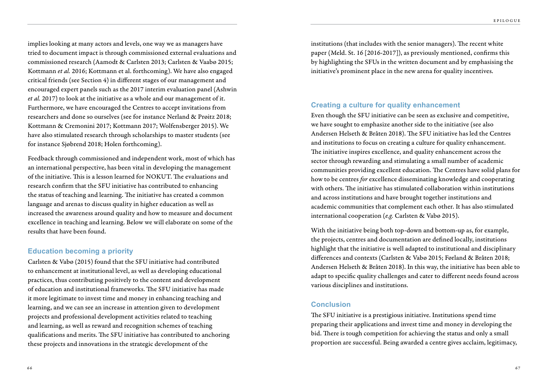implies looking at many actors and levels, one way we as managers have tried to document impact is through commissioned external evaluations and commissioned research (Aamodt & Carlsten 2013; Carlsten & Vaabø 2015; Kottmann *et al.* 2016; Kottmann et al. forthcoming). We have also engaged critical friends (see Section 4) in different stages of our management and encouraged expert panels such as the 2017 interim evaluation panel (Ashwin *et al.* 2017) to look at the initiative as a whole and our management of it. Furthermore, we have encouraged the Centres to accept invitations from researchers and done so ourselves (see for instance Nerland & Prøitz 2018; Kottmann & Cremonini 2017; Kottmann 2017; Wolfensberger 2015). We have also stimulated research through scholarships to master students (see for instance Sjøbrend 2018; Holen forthcoming).

Feedback through commissioned and independent work, most of which has an international perspective, has been vital in developing the management of the initiative. This is a lesson learned for NOKUT. The evaluations and research confirm that the SFU initiative has contributed to enhancing the status of teaching and learning. The initiative has created a common language and arenas to discuss quality in higher education as well as increased the awareness around quality and how to measure and document excellence in teaching and learning. Below we will elaborate on some of the results that have been found.

#### **Education becoming a priority**

Carlsten & Vabø (2015) found that the SFU initiative had contributed to enhancement at institutional level, as well as developing educational practices, thus contributing positively to the content and development of education and institutional frameworks. The SFU initiative has made it more legitimate to invest time and money in enhancing teaching and learning, and we can see an increase in attention given to development projects and professional development activities related to teaching and learning, as well as reward and recognition schemes of teaching qualifications and merits. The SFU initiative has contributed to anchoring these projects and innovations in the strategic development of the

institutions (that includes with the senior managers). The recent white paper (Meld. St. 16 [2016-2017]), as previously mentioned, confirms this by highlighting the SFUs in the written document and by emphasising the initiative's prominent place in the new arena for quality incentives.

#### **Creating a culture for quality enhancement**

Even though the SFU initiative can be seen as exclusive and competitive, we have sought to emphasize another side to the initiative (see also Andersen Helseth & Bråten 2018). The SFU initiative has led the Centres and institutions to focus on creating a culture for quality enhancement. The initiative inspires excellence, and quality enhancement across the sector through rewarding and stimulating a small number of academic communities providing excellent education. The Centres have solid plans for how to be centres *for* excellence disseminating knowledge and cooperating with others. The initiative has stimulated collaboration within institutions and across institutions and have brought together institutions and academic communities that complement each other. It has also stimulated international cooperation (*e.g.* Carlsten & Vabø 2015).

With the initiative being both top-down and bottom-up as, for example, the projects, centres and documentation are defined locally, institutions highlight that the initiative is well adapted to institutional and disciplinary differences and contexts (Carlsten & Vabø 2015; Førland & Bråten 2018; Andersen Helseth & Bråten 2018). In this way, the initiative has been able to adapt to specific quality challenges and cater to different needs found across various disciplines and institutions.

#### **Conclusion**

The SFU initiative is a prestigious initiative. Institutions spend time preparing their applications and invest time and money in developing the bid. There is tough competition for achieving the status and only a small proportion are successful. Being awarded a centre gives acclaim, legitimacy,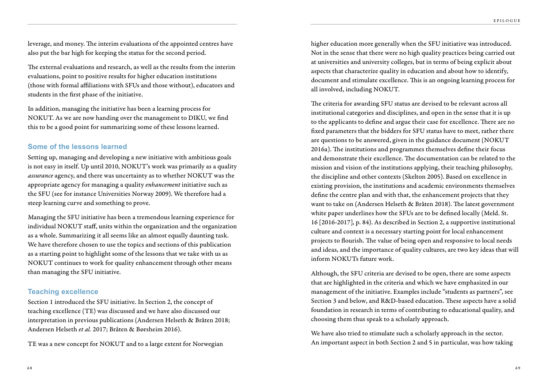leverage, and money. The interim evaluations of the appointed centres have also put the bar high for keeping the status for the second period.

The external evaluations and research, as well as the results from the interim evaluations, point to positive results for higher education institutions (those with formal affiliations with SFUs and those without), educators and students in the first phase of the initiative.

In addition, managing the initiative has been a learning process for NOKUT. As we are now handing over the management to DIKU, we find this to be a good point for summarizing some of these lessons learned.

#### **Some of the lessons learned**

Setting up, managing and developing a new initiative with ambitious goals is not easy in itself. Up until 2010, NOKUT's work was primarily as a quality *assurance* agency, and there was uncertainty as to whether NOKUT was the appropriate agency for managing a quality *enhancement* initiative such as the SFU (see for instance Universities Norway 2009). We therefore had a steep learning curve and something to prove.

Managing the SFU initiative has been a tremendous learning experience for individual NOKUT staff, units within the organization and the organization as a whole. Summarizing it all seems like an almost equally daunting task. We have therefore chosen to use the topics and sections of this publication as a starting point to highlight some of the lessons that we take with us as NOKUT continues to work for quality enhancement through other means than managing the SFU initiative.

#### **Teaching excellence**

Section 1 introduced the SFU initiative. In Section 2, the concept of teaching excellence (TE) was discussed and we have also discussed our interpretation in previous publications (Andersen Helseth & Bråten 2018; Andersen Helseth *et al.* 2017; Bråten & Børsheim 2016).

TE was a new concept for NOKUT and to a large extent for Norwegian

higher education more generally when the SFU initiative was introduced. Not in the sense that there were no high quality practices being carried out at universities and university colleges, but in terms of being explicit about aspects that characterize quality in education and about how to identify, document and stimulate excellence. This is an ongoing learning process for all involved, including NOKUT.

The criteria for awarding SFU status are devised to be relevant across all institutional categories and disciplines, and open in the sense that it is up to the applicants to define and argue their case for excellence. There are no fixed parameters that the bidders for SFU status have to meet, rather there are questions to be answered, given in the guidance document (NOKUT 2016a). The institutions and programmes themselves define their focus and demonstrate their excellence. The documentation can be related to the mission and vision of the institutions applying, their teaching philosophy, the discipline and other contexts (Skelton 2005). Based on excellence in existing provision, the institutions and academic environments themselves define the centre plan and with that, the enhancement projects that they want to take on (Andersen Helseth & Bråten 2018). The latest government white paper underlines how the SFUs are to be defined locally (Meld. St. 16 [2016-2017], p. 84). As described in Section 2, a supportive institutional culture and context is a necessary starting point for local enhancement projects to flourish. The value of being open and responsive to local needs and ideas, and the importance of quality cultures, are two key ideas that will inform NOKUTs future work.

Although, the SFU criteria are devised to be open, there are some aspects that are highlighted in the criteria and which we have emphasized in our management of the initiative. Examples include "students as partners", see Section 3 and below, and R&D-based education. These aspects have a solid foundation in research in terms of contributing to educational quality, and choosing them thus speak to a scholarly approach.

We have also tried to stimulate such a scholarly approach in the sector. An important aspect in both Section 2 and 5 in particular, was how taking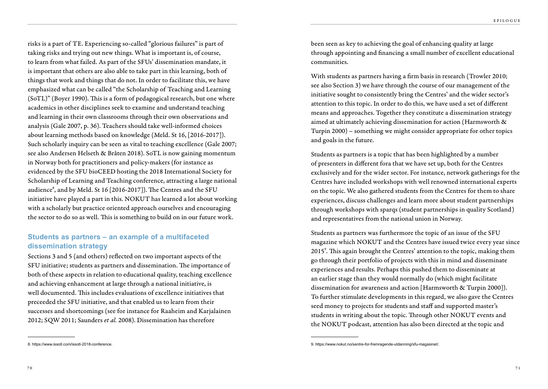risks is a part of TE. Experiencing so-called "glorious failures" is part of taking risks and trying out new things. What is important is, of course, to learn from what failed. As part of the SFUs' dissemination mandate, it is important that others are also able to take part in this learning, both of things that work and things that do not. In order to facilitate this, we have emphasized what can be called "the Scholarship of Teaching and Learning (SoTL)" (Boyer 1990). This is a form of pedagogical research, but one where academics in other disciplines seek to examine and understand teaching and learning in their own classrooms through their own observations and analysis (Gale 2007, p. 36). Teachers should take well-informed choices about learning methods based on knowledge (Meld. St 16, [2016-2017]). Such scholarly inquiry can be seen as vital to teaching excellence (Gale 2007; see also Andersen Helseth & Bråten 2018). SoTL is now gaining momentum in Norway both for practitioners and policy-makers (for instance as evidenced by the SFU bioCEED hosting the 2018 International Society for Scholarship of Learning and Teaching conference, attracting a large national audience<sup>8</sup>, and by Meld. St 16 [2016-2017]). The Centres and the SFU initiative have played a part in this. NOKUT has learned a lot about working with a scholarly but practice oriented approach ourselves and encouraging the sector to do so as well. This is something to build on in our future work.

#### **Students as partners – an example of a multifaceted dissemination strategy**

Sections 3 and 5 (and others) reflected on two important aspects of the SFU initiative; students as partners and dissemination. The importance of both of these aspects in relation to educational quality, teaching excellence and achieving enhancement at large through a national initiative, is well documented. This includes evaluations of excellence initiatives that preceeded the SFU initiative, and that enabled us to learn from their successes and shortcomings (see for instance for Raaheim and Karjalainen 2012; SQW 2011; Saunders *et al.* 2008). Dissemination has therefore

been seen as key to achieving the goal of enhancing quality at large through appointing and financing a small number of excellent educational communities.

With students as partners having a firm basis in research (Trowler 2010; see also Section 3) we have through the course of our management of the initiative sought to consistently bring the Centres' and the wider sector's attention to this topic. In order to do this, we have used a set of different means and approaches. Together they constitute a dissemination strategy aimed at ultimately achieving dissemination for action (Harmsworth & Turpin 2000) – something we might consider appropriate for other topics and goals in the future.

Students as partners is a topic that has been highlighted by a number of presenters in different fora that we have set up, both for the Centres exclusively and for the wider sector. For instance, network gatherings for the Centres have included workshops with well renowned international experts on the topic. We also gathered students from the Centres for them to share experiences, discuss challenges and learn more about student partnerships through workshops with sparqs (student partnerships in quality Scotland) and representatives from the national union in Norway.

Students as partners was furthermore the topic of an issue of the SFU magazine which NOKUT and the Centres have issued twice every year since 2015<sup>9</sup>. This again brought the Centres' attention to the topic, making them go through their portfolio of projects with this in mind and disseminate experiences and results. Perhaps this pushed them to disseminate at an earlier stage than they would normally do (which might facilitate dissemination for awareness and action [Harmsworth & Turpin 2000]). To further stimulate developments in this regard, we also gave the Centres seed money to projects for students and staff and supported master's students in writing about the topic. Through other NOKUT events and the NOKUT podcast, attention has also been directed at the topic and

<sup>8.</sup> https://www.issotl.com/issotl-2018-conference. entertainment and the state of the state of the state of the state of the state of the state of the state of the state of the state of the state of the state of the state o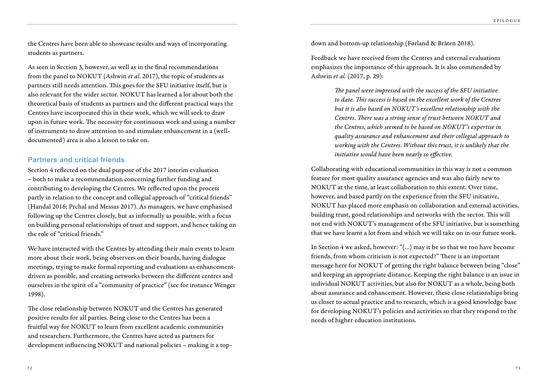the Centres have been able to showcase results and ways of incorporating students as partners.

As seen in Section 3, however, as well as in the final recommendations from the panel to NOKUT (Ashwin *et al.* 2017), the topic of students as partners still needs attention. This goes for the SFU initiative itself, but is also relevant for the wider sector. NOKUT has learned a lot about both the theoretical basis of students as partners and the different practical ways the Centres have incorporated this in their work, which we will seek to draw upon in future work. The necessity for continuous work and using a number of instruments to draw attention to and stimulate enhancement in a (welldocumented) area is also a lesson to take on.

#### **Partners and critical friends**

Section 4 reflected on the dual purpose of the 2017 interim evaluation – both to make a recommendation concerning further funding and contributing to developing the Centres. We reflected upon the process partly in relation to the concept and collegial approach of "critical friends" (Handal 2016; Prchal and Messas 2017). As managers, we have emphasised following up the Centres closely, but as informally as possible, with a focus on building personal relationships of trust and support, and hence taking on the role of "critical friends."

We have interacted with the Centres by attending their main events to learn more about their work, being observers on their boards, having dialogue meetings, trying to make formal reporting and evaluations as enhancementdriven as possible, and creating networks between the different centres and ourselves in the spirit of a "community of practice" (see for instance Wenger 1998).

The close relationship between NOKUT and the Centres has generated positive results for all parties. Being close to the Centres has been a fruitful way for NOKUT to learn from excellent academic communities and researchers. Furthermore, the Centres have acted as partners for development influencing NOKUT and national policies – making it a topdown and bottom-up relationship (Førland & Bråten 2018).

Feedback we have received from the Centres and external evaluations emphasizes the importance of this approach. It is also commended by Ashwin *et al.* (2017, p. 29):

> *The panel were impressed with the success of the SFU initiative to date. This success is based on the excellent work of the Centres but it is also based on NOKUT's excellent relationship with the Centres. There was a strong sense of trust between NOKUT and the Centres, which seemed to be based on NOKUT's expertise in quality assurance and enhancement and their collegial approach to working with the Centres. Without this trust, it is unlikely that the initiative would have been nearly so effective.*

Collaborating with educational communities in this way is not a common feature for most quality assurance agencies and was also fairly new to NOKUT at the time, at least collaboration to this extent. Over time, however, and based partly on the experience from the SFU initiative, NOKUT has placed more emphasis on collaboration and external activities, building trust, good relationships and networks with the sector. This will not end with NOKUT's management of the SFU initiative, but is something that we have learnt a lot from and which we will take on in our future work.

In Section 4 we asked, however: "(…) may it be so that we too have become friends, from whom criticism is not expected?" There is an important message here for NOKUT of getting the right balance between being "close" and keeping an appropriate distance. Keeping the right balance is an issue in individual NOKUT activities, but also for NOKUT as a whole, being both about assurance and enhancement. However, these close relationships bring us closer to actual practice and to research, which is a good knowledge base for developing NOKUT's policies and activities so that they respond to the needs of higher education institutions.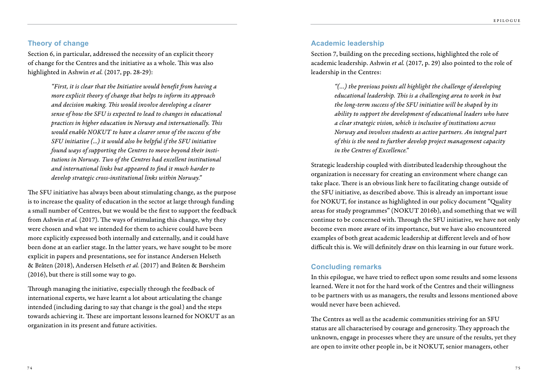#### **Theory of change**

Section 6, in particular, addressed the necessity of an explicit theory of change for the Centres and the initiative as a whole. This was also highlighted in Ashwin *et al.* (2017, pp. 28-29):

> *"First, it is clear that the Initiative would benefit from having a more explicit theory of change that helps to inform its approach and decision making. This would involve developing a clearer sense of how the SFU is expected to lead to changes in educational practices in higher education in Norway and internationally. This would enable NOKUT to have a clearer sense of the success of the SFU initiative (...) it would also be helpful if the SFU initiative found ways of supporting the Centres to move beyond their institutions in Norway. Two of the Centres had excellent institutional and international links but appeared to find it much harder to develop strategic cross-institutional links within Norway."*

The SFU initiative has always been about stimulating change, as the purpose is to increase the quality of education in the sector at large through funding a small number of Centres, but we would be the first to support the feedback from Ashwin *et al.* (2017). The ways of stimulating this change, why they were chosen and what we intended for them to achieve could have been more explicitly expressed both internally and externally, and it could have been done at an earlier stage. In the latter years, we have sought to be more explicit in papers and presentations, see for instance Andersen Helseth & Bråten (2018), Andersen Helseth *et al.* (2017) and Bråten & Børsheim (2016), but there is still some way to go.

Through managing the initiative, especially through the feedback of international experts, we have learnt a lot about articulating the change intended (including daring to say that change is the goal) and the steps towards achieving it. These are important lessons learned for NOKUT as an organization in its present and future activities.

#### **Academic leadership**

Section 7, building on the preceding sections, highlighted the role of academic leadership. Ashwin *et al.* (2017, p. 29) also pointed to the role of leadership in the Centres:

> *"(…) the previous points all highlight the challenge of developing educational leadership. This is a challenging area to work in but the long-term success of the SFU initiative will be shaped by its ability to support the development of educational leaders who have a clear strategic vision, which is inclusive of institutions across Norway and involves students as active partners. An integral part of this is the need to further develop project management capacity in the Centres of Excellence."*

Strategic leadership coupled with distributed leadership throughout the organization is necessary for creating an environment where change can take place. There is an obvious link here to facilitating change outside of the SFU initiative, as described above. This is already an important issue for NOKUT, for instance as highlighted in our policy document "Quality areas for study programmes" (NOKUT 2016b), and something that we will continue to be concerned with. Through the SFU initiative, we have not only become even more aware of its importance, but we have also encountered examples of both great academic leadership at different levels and of how difficult this is. We will definitely draw on this learning in our future work.

#### **Concluding remarks**

In this epilogue, we have tried to reflect upon some results and some lessons learned. Were it not for the hard work of the Centres and their willingness to be partners with us as managers, the results and lessons mentioned above would never have been achieved.

The Centres as well as the academic communities striving for an SFU status are all characterised by courage and generosity. They approach the unknown, engage in processes where they are unsure of the results, yet they are open to invite other people in, be it NOKUT, senior managers, other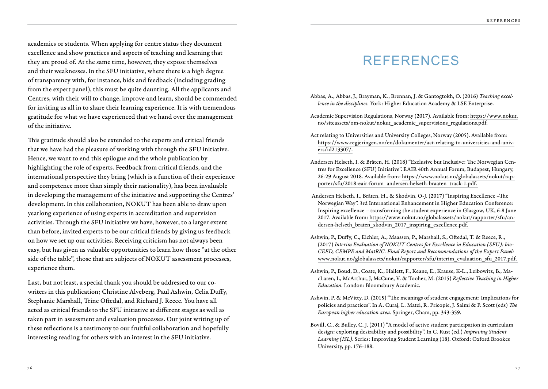academics or students. When applying for centre status they document excellence and show practices and aspects of teaching and learning that they are proud of. At the same time, however, they expose themselves and their weaknesses. In the SFU initiative, where there is a high degree of transparency with, for instance, bids and feedback (including grading from the expert panel), this must be quite daunting. All the applicants and Centres, with their will to change, improve and learn, should be commended for inviting us all in to share their learning experience. It is with tremendous gratitude for what we have experienced that we hand over the management of the initiative.

This gratitude should also be extended to the experts and critical friends that we have had the pleasure of working with through the SFU initiative. Hence, we want to end this epilogue and the whole publication by highlighting the role of experts. Feedback from critical friends, and the international perspective they bring (which is a function of their experience and competence more than simply their nationality), has been invaluable in developing the management of the initiative and supporting the Centres' development. In this collaboration, NOKUT has been able to draw upon yearlong experience of using experts in accreditation and supervision activities. Through the SFU initiative we have, however, to a larger extent than before, invited experts to be our critical friends by giving us feedback on how we set up our activities. Receiving criticism has not always been easy, but has given us valuable opportunities to learn how those "at the other side of the table", those that are subjects of NOKUT assessment processes, experience them.

Last, but not least, a special thank you should be addressed to our cowriters in this publication; Christine Alveberg, Paul Ashwin, Celia Duffy, Stephanie Marshall, Trine Oftedal, and Richard J. Reece. You have all acted as critical friends to the SFU initiative at different stages as well as taken part in assessment and evaluation processes. Our joint writing up of these reflections is a testimony to our fruitful collaboration and hopefully interesting reading for others with an interest in the SFU initiative.

### REFERENCES

- Abbas, A., Abbas, J., Brayman, K., Brennan, J. & Gantogtokh, O. (2016) *Teaching excellence in the disciplines.* York: Higher Education Academy & LSE Enterprise.
- Academic Supervision Regulations, Norway (2017). Available from: https://www.nokut. no/siteassets/om-nokut/nokut\_academic\_supervisions\_regulations.pdf.
- Act relating to Universities and University Colleges, Norway (2005). Available from: https://www.regjeringen.no/en/dokumenter/act-relating-to-universities-and-univers/id213307/.
- Andersen Helseth, I. & Bråten, H. (2018) "Exclusive but Inclusive: The Norwegian Centres for Excellence (SFU) Initiative". EAIR 40th Annual Forum, Budapest, Hungary, 26-29 August 2018. Available from: https://www.nokut.no/globalassets/nokut/rapporter/sfu/2018-eair-forum\_andersen-helseth-braaten\_track-1.pdf.
- Andersen Helseth, I., Bråten, H., & Skodvin, O-J. (2017) "Inspiring Excellence –The Norwegian Way". 3rd International Enhancement in Higher Education Conference: Inspiring excellence – transforming the student experience in Glasgow, UK, 6-8 June 2017. Available from: https://www.nokut.no/globalassets/nokut/rapporter/sfu/andersen-helseth\_braten\_skodvin\_2017\_inspiring\_excellence.pdf.
- Ashwin, P., Duffy, C., Eichler, A., Maassen, P., Marshall, S., Oftedal, T. & Reece, R., (2017) *Interim Evaluation of NOKUT Centres for Excellence in Education (SFU): bio-CEED, CEMPE and MatRIC. Final Report and Recommendations of the Expert Panel:* www.nokut.no/globalassets/nokut/rapporter/sfu/interim\_evaluation\_sfu\_2017.pdf.
- Ashwin, P., Boud, D., Coate, K., Hallett, F., Keane, E., Krause, K-L., Leibowitz, B., MacLaren, I., McArthur, J, McCune, V. & Tooher, M. (2015) *Reflective Teaching in Higher Education.* London: Bloomsbury Academic.
- Ashwin, P. & McVitty, D. (2015) "The meanings of student engagement: Implications for policies and practices". In A. Curaj, L. Matei, R. Pricopie, J. Salmi & P. Scott (eds) *The European higher education area.* Springer, Cham, pp. 343-359.
- Bovill, C., & Bulley, C. J. (2011) "A model of active student participation in curriculum design: exploring desirability and possibility". In C. Rust (ed.) *Improving Student Learning (ISL)*. Series: Improving Student Learning (18). Oxford: Oxford Brookes University, pp. 176-188.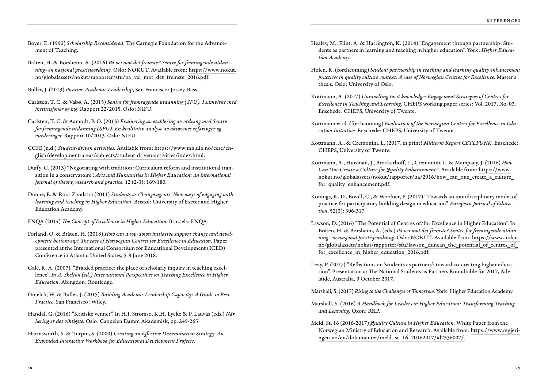- Boyer, E. (1990) *Scholarship Reconsidered*. The Carnegie Foundation for the Advancement of Teaching.
- Bråten, H. & Børsheim, A. (2016) *På vei mot det fremste? Sentre for fremragende utdanning- en nasjonal prestisjeordning.* Oslo: NOKUT. Available from: https://www.nokut. no/globalassets/nokut/rapporter/sfu/pa\_vei\_mot\_det\_fremste\_2016.pdf.
- Buller, J. (2013) *Positive Academic Leadership*, San Francisco: Jossey-Bass.
- Carlsten, T. C. & Vabø, A. (2015) *Sentre for fremragende utdanning (SFU). I samvirke med institusjoner og fag*. Rapport 22/2015. Oslo: NIFU.
- Carlsten, T. C. & Aamodt, P. O. (2013) *Evaluering av etablering av ordning med Sentre for fremragende utdanning (SFU). En kvalitativ analyse av aktørenes erfaringer og vurderinger.* Rapport 10/2013. Oslo: NIFU.
- CCSE (n.d.) *Student-driven activities.* Available from: https://www.mn.uio.no/ccse/english/development-areas/subjects/student-driven-activities/index.html.
- Duffy, C. (2013) "Negotiating with tradition: Curriculum reform and institutional transition in a conservatoire". *Arts and Humanities in Higher Education: an international journal of theory, research and practice,* 12 (2-3): 169-180.
- Dunne, E. & Roos Zandstra (2011) *Students as Change agents. New ways of engaging with learning and teaching in Higher Education.* Bristol: University of Exeter and Higher Education Academy.
- ENQA (2014) *The Concept of Excellence in Higher Education*. Brussels: ENQA.
- Førland, O. & Bråten, H. (2018) *How can a top-down initiative support change and development bottom-up? The case of Norwegian Centres for Excellence in Education.* Paper presented at the International Consortium for Educational Development (ICED) Conference in Atlanta, United States, 5-8 June 2018.
- Gale, R. A. (2007). "Braided practice: the place of scholarly inquiry in teaching excellence". *In A. Skelton (ed.) International Perspectives on Teaching Excellence in Higher Education.* Abingdon: Routledge.
- Gmelch, W. & Buller, J. (2015) *Building Academic Leadership Capacity: A Guide to Best Practice*, San Francisco: Wiley.
- Handal, G. (2016) "Kritiske venner". In H.I. Strømsø, K.H. Lycke & P. Lauvås (eds.) *Når læring er det viktigste.* Oslo: Cappelen Damm Akademisk, pp. 249-265
- Harmsworth, S. & Turpin, S. (2000) *Creating an Effective Dissemination Strategy. An Expanded Interactive Workbook for Educational Development Projects.*
- Healey, M., Flint, A. & Harrington, K. (2014) "Engagement through partnership: Students as partners in learning and teaching in higher education". York: *Higher Education Academy.*
- Holen, R. (forthcoming) *Student partnership in teaching and learning quality enhancement practices in quality culture context. A case of Norwegian Centres for Excellence.* Master's thesis. Oslo: University of Oslo.
- Kottmann, A. (2017) *Unravelling tacit knowledge: Engagement Strategies of Centres for Excellence in Teaching and Learning.* CHEPS working paper series; Vol. 2017, No. 03. Enschede: CHEPS, University of Twente.
- Kottmann et al. (forthcoming) *Evaluation of the Norwegian Centres for Excellence in Education Initiative.* Enschede: CHEPS, University of Twente.
- Kottmann, A., & Cremonini, L. (2017, in print) *Midterm Report CETLFUNK.* Enschede: CHEPS, University of Twente.
- Kottmann, A., Huisman, J., Brockerhoff, L., Cremonini, L. & Mampaey, J. (2016) *How Can One Create a Culture for Quality Enhancement?*. Available from: https://www. nokut.no/globalassets/nokut/rapporter/ua/2016/how\_can\_one\_create\_a\_culture\_ for quality enhancement.pdf.
- Könings, K. D., Bovill, C., & Woolner, P. (2017) "Towards an interdisciplinary model of practice for participatory building design in education". *European Journal of Education*, 52(3): 306-317.
- Lawson, D. (2016) "The Potential of Centres of/for Excellence in Higher Education". In Bråten, H. & Børsheim, A. (eds.) *På vei mot det fremste? Sentre for fremragende utdanning- en nasjonal prestisjeordning*. Oslo: NOKUT. Available from: https://www.nokut. no/globalassets/nokut/rapporter/sfu/lawson\_duncan\_the\_potential\_of\_centres\_of\_ for excellence in higher education 2016.pdf.
- Levy, P. (2017) "Reflections on 'students as partners': toward co-creating higher education". Presentation at The National Students as Partners Roundtable for 2017, Adelaide, Australia, 9 October 2017.
- Marshall, S. (2017) *Rising to the Challenges of Tomorrow.* York: Higher Education Academy.
- Marshall, S. (2016) *A Handbook for Leaders in Higher Education: Transforming Teaching and Learning*. Oxon: RKP.
- Meld. St. 16 (2016-2017) *Quality Culture in Higher Education.* White Paper from the Norwegian Ministry of Education and Research. Available from: https://www.regjeringen.no/en/dokumenter/meld.-st.-16- 20162017/id2536007/.